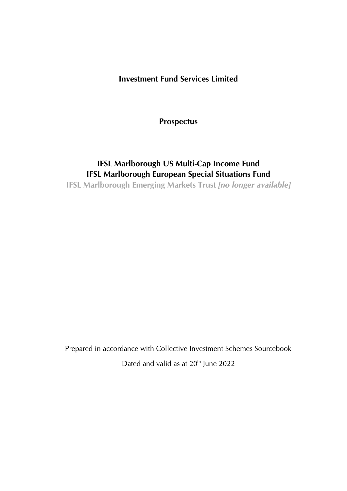### **Investment Fund Services Limited**

**Prospectus**

## **IFSL Marlborough US Multi-Cap Income Fund IFSL Marlborough European Special Situations Fund IFSL Marlborough Emerging Markets Trust** *[no longer available]*

Prepared in accordance with Collective Investment Schemes Sourcebook Dated and valid as at 20<sup>th</sup> June 2022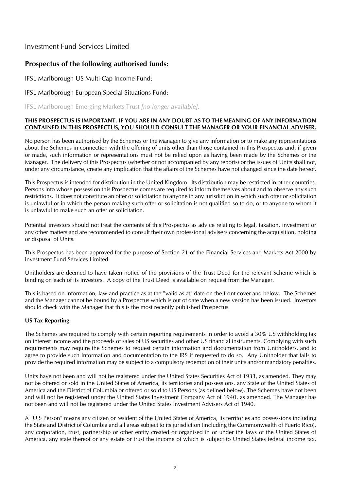### Investment Fund Services Limited

### **Prospectus of the following authorised funds:**

IFSL Marlborough US Multi-Cap Income Fund;

IFSL Marlborough European Special Situations Fund;

IFSL Marlborough Emerging Markets Trust *[no longer available]*.

#### **THIS PROSPECTUS IS IMPORTANT. IF YOU ARE IN ANY DOUBT AS TO THE MEANING OF ANY INFORMATION CONTAINED IN THIS PROSPECTUS, YOU SHOULD CONSULT THE MANAGER OR YOUR FINANCIAL ADVISER.**

No person has been authorised by the Schemes or the Manager to give any information or to make any representations about the Schemes in connection with the offering of units other than those contained in this Prospectus and, if given or made, such information or representations must not be relied upon as having been made by the Schemes or the Manager. The delivery of this Prospectus (whether or not accompanied by any reports) or the issues of Units shall not, under any circumstance, create any implication that the affairs of the Schemes have not changed since the date hereof.

This Prospectus is intended for distribution in the United Kingdom. Its distribution may be restricted in other countries. Persons into whose possession this Prospectus comes are required to inform themselves about and to observe any such restrictions. It does not constitute an offer or solicitation to anyone in any jurisdiction in which such offer or solicitation is unlawful or in which the person making such offer or solicitation is not qualified so to do, or to anyone to whom it is unlawful to make such an offer or solicitation.

Potential investors should not treat the contents of this Prospectus as advice relating to legal, taxation, investment or any other matters and are recommended to consult their own professional advisers concerning the acquisition, holding or disposal of Units.

This Prospectus has been approved for the purpose of Section 21 of the Financial Services and Markets Act 2000 by Investment Fund Services Limited.

Unitholders are deemed to have taken notice of the provisions of the Trust Deed for the relevant Scheme which is binding on each of its investors. A copy of the Trust Deed is available on request from the Manager.

This is based on information, law and practice as at the "valid as at" date on the front cover and below. The Schemes and the Manager cannot be bound by a Prospectus which is out of date when a new version has been issued. Investors should check with the Manager that this is the most recently published Prospectus.

#### **US Tax Reporting**

The Schemes are required to comply with certain reporting requirements in order to avoid a 30% US withholding tax on interest income and the proceeds of sales of US securities and other US financial instruments. Complying with such requirements may require the Schemes to request certain information and documentation from Unitholders, and to agree to provide such information and documentation to the IRS if requested to do so. Any Unitholder that fails to provide the required information may be subject to a compulsory redemption of their units and/or mandatory penalties.

Units have not been and will not be registered under the United States Securities Act of 1933, as amended. They may not be offered or sold in the United States of America, its territories and possessions, any State of the United States of America and the District of Columbia or offered or sold to US Persons (as defined below). The Schemes have not been and will not be registered under the United States Investment Company Act of 1940, as amended. The Manager has not been and will not be registered under the United States Investment Advisers Act of 1940.

A "U.S Person" means any citizen or resident of the United States of America, its territories and possessions including the State and District of Columbia and all areas subject to its jurisdiction (including the Commonwealth of Puerto Rico), any corporation, trust, partnership or other entity created or organised in or under the laws of the United States of America, any state thereof or any estate or trust the income of which is subject to United States federal income tax,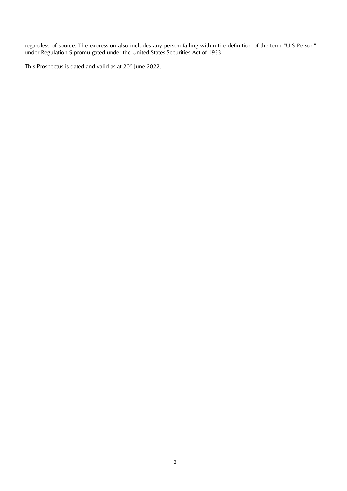regardless of source. The expression also includes any person falling within the definition of the term "U.S Person" under Regulation S promulgated under the United States Securities Act of 1933.

This Prospectus is dated and valid as at 20<sup>th</sup> June 2022.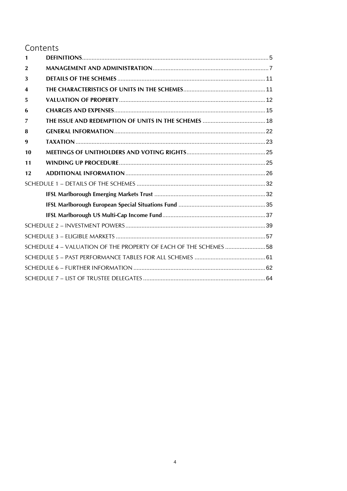### Contents

| $\mathbf{1}$            |                                                                   |  |
|-------------------------|-------------------------------------------------------------------|--|
| $\mathbf{2}$            |                                                                   |  |
| 3                       |                                                                   |  |
| $\overline{\mathbf{4}}$ |                                                                   |  |
| 5                       |                                                                   |  |
| 6                       |                                                                   |  |
| 7                       |                                                                   |  |
| 8                       |                                                                   |  |
| 9                       |                                                                   |  |
| 10                      |                                                                   |  |
| 11                      |                                                                   |  |
|                         |                                                                   |  |
| 12                      |                                                                   |  |
|                         |                                                                   |  |
|                         |                                                                   |  |
|                         |                                                                   |  |
|                         |                                                                   |  |
|                         |                                                                   |  |
|                         |                                                                   |  |
|                         | SCHEDULE 4 - VALUATION OF THE PROPERTY OF EACH OF THE SCHEMES  58 |  |
|                         |                                                                   |  |
|                         |                                                                   |  |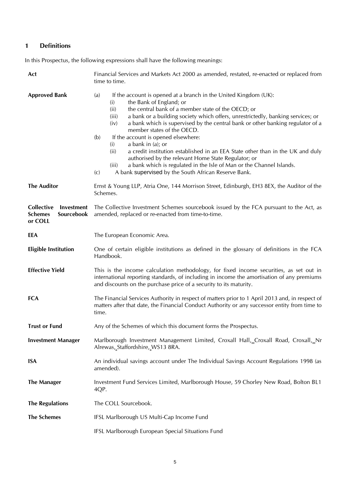### <span id="page-4-0"></span>**1 Definitions**

In this Prospectus, the following expressions shall have the following meanings:

| Act                                                                 | Financial Services and Markets Act 2000 as amended, restated, re-enacted or replaced from<br>time to time.                                                                                                                                                                                                                                                                                                                                                                                                                                                                                                                                                                                                                                                                           |  |  |  |
|---------------------------------------------------------------------|--------------------------------------------------------------------------------------------------------------------------------------------------------------------------------------------------------------------------------------------------------------------------------------------------------------------------------------------------------------------------------------------------------------------------------------------------------------------------------------------------------------------------------------------------------------------------------------------------------------------------------------------------------------------------------------------------------------------------------------------------------------------------------------|--|--|--|
| <b>Approved Bank</b>                                                | If the account is opened at a branch in the United Kingdom (UK):<br>(a)<br>the Bank of England; or<br>(i)<br>the central bank of a member state of the OECD; or<br>(ii)<br>(iii)<br>a bank or a building society which offers, unrestrictedly, banking services; or<br>a bank which is supervised by the central bank or other banking regulator of a<br>(iv)<br>member states of the OECD.<br>If the account is opened elsewhere:<br>(b)<br>(i)<br>a bank in (a); or<br>(ii)<br>a credit institution established in an EEA State other than in the UK and duly<br>authorised by the relevant Home State Regulator; or<br>a bank which is regulated in the Isle of Man or the Channel Islands.<br>(iii)<br>A bank supervised by the South African Reserve Bank.<br>$\left( c\right)$ |  |  |  |
| <b>The Auditor</b>                                                  | Ernst & Young LLP, Atria One, 144 Morrison Street, Edinburgh, EH3 8EX, the Auditor of the<br>Schemes.                                                                                                                                                                                                                                                                                                                                                                                                                                                                                                                                                                                                                                                                                |  |  |  |
| Collective<br>Investment<br><b>Schemes</b><br>Sourcebook<br>or COLL | The Collective Investment Schemes sourcebook issued by the FCA pursuant to the Act, as<br>amended, replaced or re-enacted from time-to-time.                                                                                                                                                                                                                                                                                                                                                                                                                                                                                                                                                                                                                                         |  |  |  |
| EEA                                                                 | The European Economic Area.                                                                                                                                                                                                                                                                                                                                                                                                                                                                                                                                                                                                                                                                                                                                                          |  |  |  |
| <b>Eligible Institution</b>                                         | One of certain eligible institutions as defined in the glossary of definitions in the FCA<br>Handbook.                                                                                                                                                                                                                                                                                                                                                                                                                                                                                                                                                                                                                                                                               |  |  |  |
| <b>Effective Yield</b>                                              | This is the income calculation methodology, for fixed income securities, as set out in<br>international reporting standards, of including in income the amortisation of any premiums<br>and discounts on the purchase price of a security to its maturity.                                                                                                                                                                                                                                                                                                                                                                                                                                                                                                                           |  |  |  |
| <b>FCA</b>                                                          | The Financial Services Authority in respect of matters prior to 1 April 2013 and, in respect of<br>matters after that date, the Financial Conduct Authority or any successor entity from time to<br>time.                                                                                                                                                                                                                                                                                                                                                                                                                                                                                                                                                                            |  |  |  |
| <b>Trust or Fund</b>                                                | Any of the Schemes of which this document forms the Prospectus.                                                                                                                                                                                                                                                                                                                                                                                                                                                                                                                                                                                                                                                                                                                      |  |  |  |
| <b>Investment Manager</b>                                           | Marlborough Investment Management Limited, Croxall Hall,_Croxall Road, Croxall,_Nr<br>Alrewas, Staffordshire, WS13 8RA.                                                                                                                                                                                                                                                                                                                                                                                                                                                                                                                                                                                                                                                              |  |  |  |
| <b>ISA</b>                                                          | An individual savings account under The Individual Savings Account Regulations 1998 (as<br>amended).                                                                                                                                                                                                                                                                                                                                                                                                                                                                                                                                                                                                                                                                                 |  |  |  |
| <b>The Manager</b>                                                  | Investment Fund Services Limited, Marlborough House, 59 Chorley New Road, Bolton BL1<br>4QP.                                                                                                                                                                                                                                                                                                                                                                                                                                                                                                                                                                                                                                                                                         |  |  |  |
| <b>The Regulations</b>                                              | The COLL Sourcebook.                                                                                                                                                                                                                                                                                                                                                                                                                                                                                                                                                                                                                                                                                                                                                                 |  |  |  |
| <b>The Schemes</b>                                                  | IFSL Marlborough US Multi-Cap Income Fund                                                                                                                                                                                                                                                                                                                                                                                                                                                                                                                                                                                                                                                                                                                                            |  |  |  |
|                                                                     | IFSL Marlborough European Special Situations Fund                                                                                                                                                                                                                                                                                                                                                                                                                                                                                                                                                                                                                                                                                                                                    |  |  |  |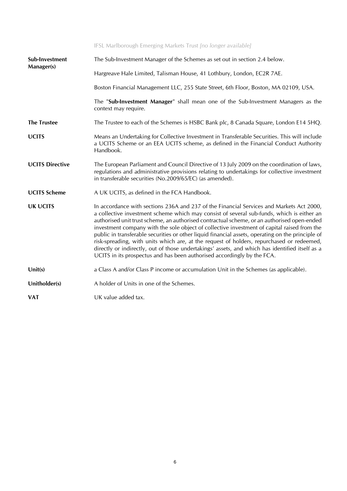|                        | IFSL Marlborough Emerging Markets Trust [no longer available]                                                                                                                                                                                                                                                                                                                                                                                                                                                                                                                                                                                                                                                                                                       |
|------------------------|---------------------------------------------------------------------------------------------------------------------------------------------------------------------------------------------------------------------------------------------------------------------------------------------------------------------------------------------------------------------------------------------------------------------------------------------------------------------------------------------------------------------------------------------------------------------------------------------------------------------------------------------------------------------------------------------------------------------------------------------------------------------|
| Sub-Investment         | The Sub-Investment Manager of the Schemes as set out in section 2.4 below.                                                                                                                                                                                                                                                                                                                                                                                                                                                                                                                                                                                                                                                                                          |
| Manager(s)             | Hargreave Hale Limited, Talisman House, 41 Lothbury, London, EC2R 7AE.                                                                                                                                                                                                                                                                                                                                                                                                                                                                                                                                                                                                                                                                                              |
|                        | Boston Financial Management LLC, 255 State Street, 6th Floor, Boston, MA 02109, USA.                                                                                                                                                                                                                                                                                                                                                                                                                                                                                                                                                                                                                                                                                |
|                        | The "Sub-Investment Manager" shall mean one of the Sub-Investment Managers as the<br>context may require.                                                                                                                                                                                                                                                                                                                                                                                                                                                                                                                                                                                                                                                           |
| <b>The Trustee</b>     | The Trustee to each of the Schemes is HSBC Bank plc, 8 Canada Square, London E14 5HQ.                                                                                                                                                                                                                                                                                                                                                                                                                                                                                                                                                                                                                                                                               |
| <b>UCITS</b>           | Means an Undertaking for Collective Investment in Transferable Securities. This will include<br>a UCITS Scheme or an EEA UCITS scheme, as defined in the Financial Conduct Authority<br>Handbook.                                                                                                                                                                                                                                                                                                                                                                                                                                                                                                                                                                   |
| <b>UCITS Directive</b> | The European Parliament and Council Directive of 13 July 2009 on the coordination of laws,<br>regulations and administrative provisions relating to undertakings for collective investment<br>in transferable securities (No.2009/65/EC) (as amended).                                                                                                                                                                                                                                                                                                                                                                                                                                                                                                              |
| <b>UCITS Scheme</b>    | A UK UCITS, as defined in the FCA Handbook.                                                                                                                                                                                                                                                                                                                                                                                                                                                                                                                                                                                                                                                                                                                         |
| <b>UK UCITS</b>        | In accordance with sections 236A and 237 of the Financial Services and Markets Act 2000,<br>a collective investment scheme which may consist of several sub-funds, which is either an<br>authorised unit trust scheme, an authorised contractual scheme, or an authorised open-ended<br>investment company with the sole object of collective investment of capital raised from the<br>public in transferable securities or other liquid financial assets, operating on the principle of<br>risk-spreading, with units which are, at the request of holders, repurchased or redeemed,<br>directly or indirectly, out of those undertakings' assets, and which has identified itself as a<br>UCITS in its prospectus and has been authorised accordingly by the FCA. |
| Unit(s)                | a Class A and/or Class P income or accumulation Unit in the Schemes (as applicable).                                                                                                                                                                                                                                                                                                                                                                                                                                                                                                                                                                                                                                                                                |
| Unitholder(s)          | A holder of Units in one of the Schemes.                                                                                                                                                                                                                                                                                                                                                                                                                                                                                                                                                                                                                                                                                                                            |
| <b>VAT</b>             | UK value added tax.                                                                                                                                                                                                                                                                                                                                                                                                                                                                                                                                                                                                                                                                                                                                                 |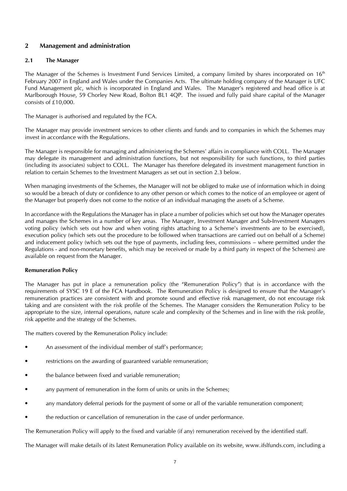#### <span id="page-6-0"></span>**2 Management and administration**

#### **2.1 The Manager**

The Manager of the Schemes is Investment Fund Services Limited, a company limited by shares incorporated on 16<sup>th</sup> February 2007 in England and Wales under the Companies Acts. The ultimate holding company of the Manager is UFC Fund Management plc, which is incorporated in England and Wales. The Manager's registered and head office is at Marlborough House, 59 Chorley New Road, Bolton BL1 4QP. The issued and fully paid share capital of the Manager consists of £10,000.

The Manager is authorised and regulated by the FCA.

The Manager may provide investment services to other clients and funds and to companies in which the Schemes may invest in accordance with the Regulations.

The Manager is responsible for managing and administering the Schemes' affairs in compliance with COLL. The Manager may delegate its management and administration functions, but not responsibility for such functions, to third parties (including its associates) subject to COLL. The Manager has therefore delegated its investment management function in relation to certain Schemes to the Investment Managers as set out in section 2.3 below.

When managing investments of the Schemes, the Manager will not be obliged to make use of information which in doing so would be a breach of duty or confidence to any other person or which comes to the notice of an employee or agent of the Manager but properly does not come to the notice of an individual managing the assets of a Scheme.

In accordance with the Regulations the Manager has in place a number of policies which set out how the Manager operates and manages the Schemes in a number of key areas. The Manager, Investment Manager and Sub-Investment Managers voting policy (which sets out how and when voting rights attaching to a Scheme's investments are to be exercised), execution policy (which sets out the procedure to be followed when transactions are carried out on behalf of a Scheme) and inducement policy (which sets out the type of payments, including fees, commissions – where permitted under the Regulations - and non-monetary benefits, which may be received or made by a third party in respect of the Schemes) are available on request from the Manager.

#### **Remuneration Policy**

The Manager has put in place a remuneration policy (the "Remuneration Policy") that is in accordance with the requirements of SYSC 19 E of the FCA Handbook. The Remuneration Policy is designed to ensure that the Manager's remuneration practices are consistent with and promote sound and effective risk management, do not encourage risk taking and are consistent with the risk profile of the Schemes. The Manager considers the Remuneration Policy to be appropriate to the size, internal operations, nature scale and complexity of the Schemes and in line with the risk profile, risk appetite and the strategy of the Schemes.

The matters covered by the Remuneration Policy include:

- An assessment of the individual member of staff's performance;
- restrictions on the awarding of guaranteed variable remuneration;
- the balance between fixed and variable remuneration;
- any payment of remuneration in the form of units or units in the Schemes;
- any mandatory deferral periods for the payment of some or all of the variable remuneration component;
- the reduction or cancellation of remuneration in the case of under performance.

The Remuneration Policy will apply to the fixed and variable (if any) remuneration received by the identified staff.

The Manager will make details of its latest Remuneration Policy available on its website, www.ifslfunds.com, including a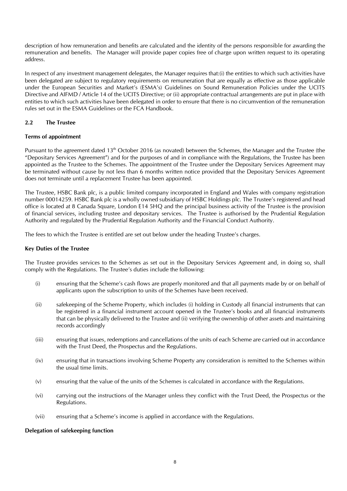description of how remuneration and benefits are calculated and the identity of the persons responsible for awarding the remuneration and benefits. The Manager will provide paper copies free of charge upon written request to its operating address.

In respect of any investment management delegates, the Manager requires that:(i) the entities to which such activities have been delegated are subject to regulatory requirements on remuneration that are equally as effective as those applicable under the European Securities and Market's (ESMA's) Guidelines on Sound Remuneration Policies under the UCITS Directive and AIFMD / Article 14 of the UCITS Directive; or (ii) appropriate contractual arrangements are put in place with entities to which such activities have been delegated in order to ensure that there is no circumvention of the remuneration rules set out in the ESMA Guidelines or the FCA Handbook.

#### **2.2 The Trustee**

#### **Terms of appointment**

Pursuant to the agreement dated 13<sup>th</sup> October 2016 (as novated) between the Schemes, the Manager and the Trustee (the "Depositary Services Agreement") and for the purposes of and in compliance with the Regulations, the Trustee has been appointed as the Trustee to the Schemes. The appointment of the Trustee under the Depositary Services Agreement may be terminated without cause by not less than 6 months written notice provided that the Depositary Services Agreement does not terminate until a replacement Trustee has been appointed.

The Trustee, HSBC Bank plc, is a public limited company incorporated in England and Wales with company registration number 00014259. HSBC Bank plc is a wholly owned subsidiary of HSBC Holdings plc. The Trustee's registered and head office is located at 8 Canada Square, London E14 5HQ and the principal business activity of the Trustee is the provision of financial services, including trustee and depositary services. The Trustee is authorised by the Prudential Regulation Authority and regulated by the Prudential Regulation Authority and the Financial Conduct Authority.

The fees to which the Trustee is entitled are set out below under the heading Trustee's charges.

#### **Key Duties of the Trustee**

The Trustee provides services to the Schemes as set out in the Depositary Services Agreement and, in doing so, shall comply with the Regulations. The Trustee's duties include the following:

- (i) ensuring that the Scheme's cash flows are properly monitored and that all payments made by or on behalf of applicants upon the subscription to units of the Schemes have been received.
- (ii) safekeeping of the Scheme Property, which includes (i) holding in Custody all financial instruments that can be registered in a financial instrument account opened in the Trustee's books and all financial instruments that can be physically delivered to the Trustee and (ii) verifying the ownership of other assets and maintaining records accordingly
- (iii) ensuring that issues, redemptions and cancellations of the units of each Scheme are carried out in accordance with the Trust Deed, the Prospectus and the Regulations.
- (iv) ensuring that in transactions involving Scheme Property any consideration is remitted to the Schemes within the usual time limits.
- (v) ensuring that the value of the units of the Schemes is calculated in accordance with the Regulations.
- (vi) carrying out the instructions of the Manager unless they conflict with the Trust Deed, the Prospectus or the Regulations.
- (vii) ensuring that a Scheme's income is applied in accordance with the Regulations.

#### **Delegation of safekeeping function**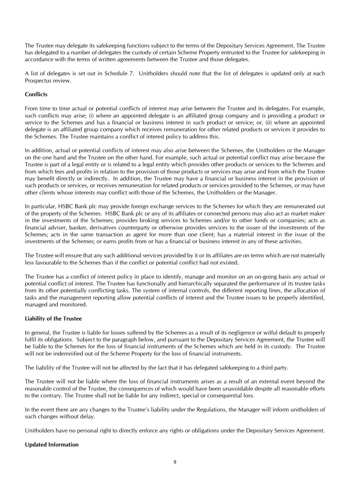The Trustee may delegate its safekeeping functions subject to the terms of the Depositary Services Agreement. The Trustee has delegated to a number of delegates the custody of certain Scheme Property entrusted to the Trustee for safekeeping in accordance with the terms of written agreements between the Trustee and those delegates.

A list of delegates is set out in Schedule 7. Unitholders should note that the list of delegates is updated only at each Prospectus review.

#### **Conflicts**

From time to time actual or potential conflicts of interest may arise between the Trustee and its delegates. For example, such conflicts may arise; (i) where an appointed delegate is an affiliated group company and is providing a product or service to the Schemes and has a financial or business interest in such product or service; or, (ii) where an appointed delegate is an affiliated group company which receives remuneration for other related products or services it provides to the Schemes. The Trustee maintains a conflict of interest policy to address this.

In addition, actual or potential conflicts of interest may also arise between the Schemes, the Unitholders or the Manager on the one hand and the Trustee on the other hand. For example, such actual or potential conflict may arise because the Trustee is part of a legal entity or is related to a legal entity which provides other products or services to the Schemes and from which fees and profits in relation to the provision of those products or services may arise and from which the Trustee may benefit directly or indirectly. In addition, the Trustee may have a financial or business interest in the provision of such products or services, or receives remuneration for related products or services provided to the Schemes, or may have other clients whose interests may conflict with those of the Schemes, the Unitholders or the Manager.

In particular, HSBC Bank plc may provide foreign exchange services to the Schemes for which they are remunerated out of the property of the Schemes. HSBC Bank plc or any of its affiliates or connected persons may also act as market maker in the investments of the Schemes; provides broking services to Schemes and/or to other funds or companies; acts as financial adviser, banker, derivatives counterparty or otherwise provides services to the issuer of the investments of the Schemes; acts in the same transaction as agent for more than one client; has a material interest in the issue of the investments of the Schemes; or earns profits from or has a financial or business interest in any of these activities.

The Trustee will ensure that any such additional services provided by it or its affiliates are on terms which are not materially less favourable to the Schemes than if the conflict or potential conflict had not existed.

The Trustee has a conflict of interest policy in place to identify, manage and monitor on an on-going basis any actual or potential conflict of interest. The Trustee has functionally and hierarchically separated the performance of its trustee tasks from its other potentially conflicting tasks. The system of internal controls, the different reporting lines, the allocation of tasks and the management reporting allow potential conflicts of interest and the Trustee issues to be properly identified, managed and monitored.

#### **Liability of the Trustee**

In general, the Trustee is liable for losses suffered by the Schemes as a result of its negligence or wilful default to properly fulfil its obligations. Subject to the paragraph below, and pursuant to the Depositary Services Agreement, the Trustee will be liable to the Schemes for the loss of financial instruments of the Schemes which are held in its custody. The Trustee will not be indemnified out of the Scheme Property for the loss of financial instruments.

The liability of the Trustee will not be affected by the fact that it has delegated safekeeping to a third party.

The Trustee will not be liable where the loss of financial instruments arises as a result of an external event beyond the reasonable control of the Trustee, the consequences of which would have been unavoidable despite all reasonable efforts to the contrary. The Trustee shall not be liable for any indirect, special or consequential loss.

In the event there are any changes to the Trustee's liability under the Regulations, the Manager will inform unitholders of such changes without delay.

Unitholders have no personal right to directly enforce any rights or obligations under the Depositary Services Agreement.

#### **Updated Information**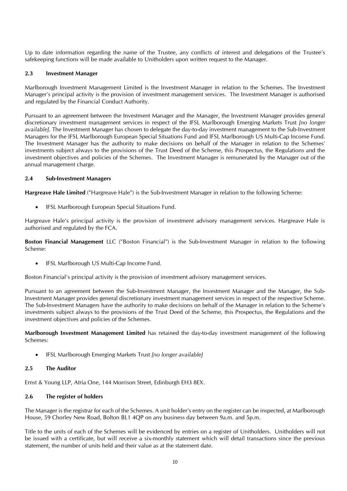Up to date information regarding the name of the Trustee, any conflicts of interest and delegations of the Trustee's safekeeping functions will be made available to Unitholders upon written request to the Manager.

#### **2.3 Investment Manager**

Marlborough Investment Management Limited is the Investment Manager in relation to the Schemes. The Investment Manager's principal activity is the provision of investment management services. The Investment Manager is authorised and regulated by the Financial Conduct Authority.

Pursuant to an agreement between the Investment Manager and the Manager, the Investment Manager provides general discretionary investment management services in respect of the IFSL Marlborough Emerging Markets Trust *[no longer available]*. The Investment Manager has chosen to delegate the day-to-day investment management to the Sub-Investment Managers for the IFSL Marlborough European Special Situations Fund and IFSL Marlborough US Multi-Cap Income Fund. The Investment Manager has the authority to make decisions on behalf of the Manager in relation to the Schemes' investments subject always to the provisions of the Trust Deed of the Scheme, this Prospectus, the Regulations and the investment objectives and policies of the Schemes. The Investment Manager is remunerated by the Manager out of the annual management charge.

#### **2.4 Sub-Investment Managers**

**Hargreave Hale Limited** ("Hargreave Hale") is the Sub-Investment Manager in relation to the following Scheme:

• IFSL Marlborough European Special Situations Fund.

Hargreave Hale's principal activity is the provision of investment advisory management services. Hargreave Hale is authorised and regulated by the FCA.

**Boston Financial Management** LLC ("Boston Financial") is the Sub-Investment Manager in relation to the following Scheme:

• IFSL Marlborough US Multi-Cap Income Fund.

Boston Financial's principal activity is the provision of investment advisory management services.

Pursuant to an agreement between the Sub-Investment Manager, the Investment Manager and the Manager, the Sub-Investment Manager provides general discretionary investment management services in respect of the respective Scheme. The Sub-Investment Managers have the authority to make decisions on behalf of the Manager in relation to the Scheme's investments subject always to the provisions of the Trust Deed of the Scheme, this Prospectus, the Regulations and the investment objectives and policies of the Schemes.

**Marlborough Investment Management Limited** has retained the day-to-day investment management of the following Schemes:

• IFSL Marlborough Emerging Markets Trust *[no longer available]*

#### **2.5 The Auditor**

Ernst & Young LLP, Atria One, 144 Morrison Street, Edinburgh EH3 8EX.

#### **2.6 The register of holders**

The Manager is the registrar for each of the Schemes. A unit holder's entry on the register can be inspected, at Marlborough House, 59 Chorley New Road, Bolton BL1 4QP on any business day between 9a.m. and 5p.m.

Title to the units of each of the Schemes will be evidenced by entries on a register of Unitholders. Unitholders will not be issued with a certificate, but will receive a six-monthly statement which will detail transactions since the previous statement, the number of units held and their value as at the statement date.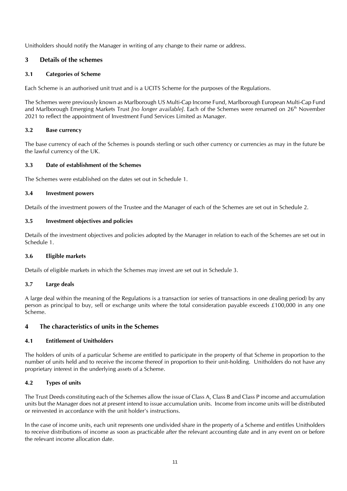Unitholders should notify the Manager in writing of any change to their name or address.

#### <span id="page-10-0"></span>**3 Details of the schemes**

#### **3.1 Categories of Scheme**

Each Scheme is an authorised unit trust and is a UCITS Scheme for the purposes of the Regulations.

The Schemes were previously known as Marlborough US Multi-Cap Income Fund, Marlborough European Multi-Cap Fund and Marlborough Emerging Markets Trust *[no longer available]*. Each of the Schemes were renamed on 26<sup>th</sup> November 2021 to reflect the appointment of Investment Fund Services Limited as Manager.

#### **3.2 Base currency**

The base currency of each of the Schemes is pounds sterling or such other currency or currencies as may in the future be the lawful currency of the UK.

#### **3.3 Date of establishment of the Schemes**

The Schemes were established on the dates set out in Schedule 1.

#### **3.4 Investment powers**

Details of the investment powers of the Trustee and the Manager of each of the Schemes are set out in Schedule 2.

#### **3.5 Investment objectives and policies**

Details of the investment objectives and policies adopted by the Manager in relation to each of the Schemes are set out in Schedule 1.

#### **3.6 Eligible markets**

Details of eligible markets in which the Schemes may invest are set out in Schedule 3.

#### **3.7 Large deals**

A large deal within the meaning of the Regulations is a transaction (or series of transactions in one dealing period) by any person as principal to buy, sell or exchange units where the total consideration payable exceeds £100,000 in any one Scheme.

#### <span id="page-10-1"></span>**4 The characteristics of units in the Schemes**

#### **4.1 Entitlement of Unitholders**

The holders of units of a particular Scheme are entitled to participate in the property of that Scheme in proportion to the number of units held and to receive the income thereof in proportion to their unit-holding. Unitholders do not have any proprietary interest in the underlying assets of a Scheme.

#### **4.2 Types of units**

The Trust Deeds constituting each of the Schemes allow the issue of Class A, Class B and Class P income and accumulation units but the Manager does not at present intend to issue accumulation units. Income from income units will be distributed or reinvested in accordance with the unit holder's instructions.

In the case of income units, each unit represents one undivided share in the property of a Scheme and entitles Unitholders to receive distributions of income as soon as practicable after the relevant accounting date and in any event on or before the relevant income allocation date.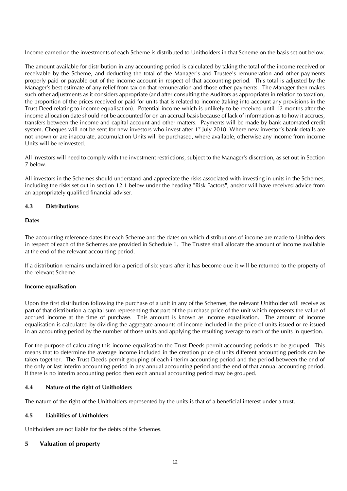Income earned on the investments of each Scheme is distributed to Unitholders in that Scheme on the basis set out below.

The amount available for distribution in any accounting period is calculated by taking the total of the income received or receivable by the Scheme, and deducting the total of the Manager's and Trustee's remuneration and other payments properly paid or payable out of the income account in respect of that accounting period. This total is adjusted by the Manager's best estimate of any relief from tax on that remuneration and those other payments. The Manager then makes such other adjustments as it considers appropriate (and after consulting the Auditors as appropriate) in relation to taxation, the proportion of the prices received or paid for units that is related to income (taking into account any provisions in the Trust Deed relating to income equalisation). Potential income which is unlikely to be received until 12 months after the income allocation date should not be accounted for on an accrual basis because of lack of information as to how it accrues, transfers between the income and capital account and other matters. Payments will be made by bank automated credit system. Cheques will not be sent for new investors who invest after 1<sup>st</sup> July 2018. Where new investor's bank details are not known or are inaccurate, accumulation Units will be purchased, where available, otherwise any income from income Units will be reinvested.

All investors will need to comply with the investment restrictions, subject to the Manager's discretion, as set out in Section 7 below.

All investors in the Schemes should understand and appreciate the risks associated with investing in units in the Schemes, including the risks set out in section 12.1 below under the heading "Risk Factors", and/or will have received advice from an appropriately qualified financial adviser.

#### **4.3 Distributions**

#### **Dates**

The accounting reference dates for each Scheme and the dates on which distributions of income are made to Unitholders in respect of each of the Schemes are provided in Schedule 1. The Trustee shall allocate the amount of income available at the end of the relevant accounting period.

If a distribution remains unclaimed for a period of six years after it has become due it will be returned to the property of the relevant Scheme.

#### **Income equalisation**

Upon the first distribution following the purchase of a unit in any of the Schemes, the relevant Unitholder will receive as part of that distribution a capital sum representing that part of the purchase price of the unit which represents the value of accrued income at the time of purchase. This amount is known as income equalisation. The amount of income equalisation is calculated by dividing the aggregate amounts of income included in the price of units issued or re-issued in an accounting period by the number of those units and applying the resulting average to each of the units in question.

For the purpose of calculating this income equalisation the Trust Deeds permit accounting periods to be grouped. This means that to determine the average income included in the creation price of units different accounting periods can be taken together. The Trust Deeds permit grouping of each interim accounting period and the period between the end of the only or last interim accounting period in any annual accounting period and the end of that annual accounting period. If there is no interim accounting period then each annual accounting period may be grouped.

#### **4.4 Nature of the right of Unitholders**

The nature of the right of the Unitholders represented by the units is that of a beneficial interest under a trust.

#### **4.5 Liabilities of Unitholders**

Unitholders are not liable for the debts of the Schemes.

#### <span id="page-11-0"></span>**5 Valuation of property**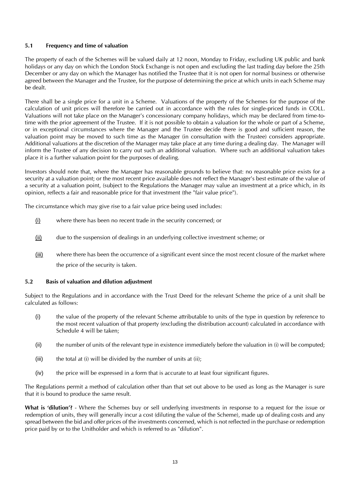#### **5.1 Frequency and time of valuation**

The property of each of the Schemes will be valued daily at 12 noon, Monday to Friday, excluding UK public and bank holidays or any day on which the London Stock Exchange is not open and excluding the last trading day before the 25th December or any day on which the Manager has notified the Trustee that it is not open for normal business or otherwise agreed between the Manager and the Trustee, for the purpose of determining the price at which units in each Scheme may be dealt.

There shall be a single price for a unit in a Scheme. Valuations of the property of the Schemes for the purpose of the calculation of unit prices will therefore be carried out in accordance with the rules for single-priced funds in COLL. Valuations will not take place on the Manager's concessionary company holidays, which may be declared from time-totime with the prior agreement of the Trustee. If it is not possible to obtain a valuation for the whole or part of a Scheme, or in exceptional circumstances where the Manager and the Trustee decide there is good and sufficient reason, the valuation point may be moved to such time as the Manager (in consultation with the Trustee) considers appropriate. Additional valuations at the discretion of the Manager may take place at any time during a dealing day. The Manager will inform the Trustee of any decision to carry out such an additional valuation. Where such an additional valuation takes place it is a further valuation point for the purposes of dealing.

Investors should note that, where the Manager has reasonable grounds to believe that: no reasonable price exists for a security at a valuation point; or the most recent price available does not reflect the Manager's best estimate of the value of a security at a valuation point, (subject to the Regulations the Manager may value an investment at a price which, in its opinion, reflects a fair and reasonable price for that investment (the "fair value price").

The circumstance which may give rise to a fair value price being used includes:

- (i) where there has been no recent trade in the security concerned; or
- (ii) due to the suspension of dealings in an underlying collective investment scheme; or
- (iii) where there has been the occurrence of a significant event since the most recent closure of the market where the price of the security is taken.

#### **5.2 Basis of valuation and dilution adjustment**

Subject to the Regulations and in accordance with the Trust Deed for the relevant Scheme the price of a unit shall be calculated as follows:

- (i) the value of the property of the relevant Scheme attributable to units of the type in question by reference to the most recent valuation of that property (excluding the distribution account) calculated in accordance with Schedule 4 will be taken;
- (ii) the number of units of the relevant type in existence immediately before the valuation in (i) will be computed;
- (iii) the total at (i) will be divided by the number of units at (ii);
- (iv) the price will be expressed in a form that is accurate to at least four significant figures.

The Regulations permit a method of calculation other than that set out above to be used as long as the Manager is sure that it is bound to produce the same result.

**What is 'dilution'?** - Where the Schemes buy or sell underlying investments in response to a request for the issue or redemption of units, they will generally incur a cost (diluting the value of the Scheme), made up of dealing costs and any spread between the bid and offer prices of the investments concerned, which is not reflected in the purchase or redemption price paid by or to the Unitholder and which is referred to as "dilution".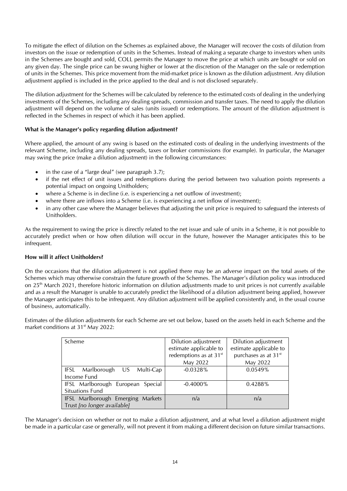To mitigate the effect of dilution on the Schemes as explained above, the Manager will recover the costs of dilution from investors on the issue or redemption of units in the Schemes. Instead of making a separate charge to investors when units in the Schemes are bought and sold, COLL permits the Manager to move the price at which units are bought or sold on any given day. The single price can be swung higher or lower at the discretion of the Manager on the sale or redemption of units in the Schemes. This price movement from the mid-market price is known as the dilution adjustment. Any dilution adjustment applied is included in the price applied to the deal and is not disclosed separately.

The dilution adjustment for the Schemes will be calculated by reference to the estimated costs of dealing in the underlying investments of the Schemes, including any dealing spreads, commission and transfer taxes. The need to apply the dilution adjustment will depend on the volume of sales (units issued) or redemptions. The amount of the dilution adjustment is reflected in the Schemes in respect of which it has been applied.

#### **What is the Manager's policy regarding dilution adjustment?**

Where applied, the amount of any swing is based on the estimated costs of dealing in the underlying investments of the relevant Scheme, including any dealing spreads, taxes or broker commissions (for example). In particular, the Manager may swing the price (make a dilution adjustment) in the following circumstances:

- in the case of a "large deal" (see paragraph  $3.7$ );
- if the net effect of unit issues and redemptions during the period between two valuation points represents a potential impact on ongoing Unitholders;
- where a Scheme is in decline (i.e. is experiencing a net outflow of investment);
- where there are inflows into a Scheme (i.e. is experiencing a net inflow of investment);
- in any other case where the Manager believes that adjusting the unit price is required to safeguard the interests of Unitholders.

As the requirement to swing the price is directly related to the net issue and sale of units in a Scheme, it is not possible to accurately predict when or how often dilution will occur in the future, however the Manager anticipates this to be infrequent.

#### **How will it affect Unitholders?**

On the occasions that the dilution adjustment is not applied there may be an adverse impact on the total assets of the Schemes which may otherwise constrain the future growth of the Schemes. The Manager's dilution policy was introduced on 25th March 2021, therefore historic information on dilution adjustments made to unit prices is not currently available and as a result the Manager is unable to accurately predict the likelihood of a dilution adjustment being applied, however the Manager anticipates this to be infrequent. Any dilution adjustment will be applied consistently and, in the usual course of business, automatically.

Estimates of the dilution adjustments for each Scheme are set out below, based on the assets held in each Scheme and the market conditions at 31<sup>st</sup> May 2022:

| Scheme                                  | Dilution adjustment                | Dilution adjustment              |  |
|-----------------------------------------|------------------------------------|----------------------------------|--|
|                                         | estimate applicable to             | estimate applicable to           |  |
|                                         | redemptions as at 31 <sup>st</sup> | purchases as at 31 <sup>st</sup> |  |
|                                         | May 2022                           | May 2022                         |  |
| Marlborough US Multi-Cap<br><b>IFSL</b> | $-0.0328%$                         | 0.0549%                          |  |
| Income Fund                             |                                    |                                  |  |
| IFSL Marlborough European Special       | $-0.4000\%$                        | 0.4288%                          |  |
| <b>Situations Fund</b>                  |                                    |                                  |  |
| IFSL Marlborough Emerging Markets       | n/a                                | n/a                              |  |
| Trust <i>[no longer available]</i>      |                                    |                                  |  |

The Manager's decision on whether or not to make a dilution adjustment, and at what level a dilution adjustment might be made in a particular case or generally, will not prevent it from making a different decision on future similar transactions.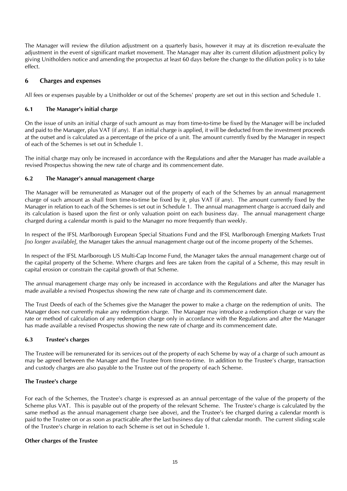The Manager will review the dilution adjustment on a quarterly basis, however it may at its discretion re-evaluate the adjustment in the event of significant market movement. The Manager may alter its current dilution adjustment policy by giving Unitholders notice and amending the prospectus at least 60 days before the change to the dilution policy is to take effect.

#### <span id="page-14-0"></span>**6 Charges and expenses**

All fees or expenses payable by a Unitholder or out of the Schemes' property are set out in this section and Schedule 1.

#### **6.1 The Manager's initial charge**

On the issue of units an initial charge of such amount as may from time-to-time be fixed by the Manager will be included and paid to the Manager, plus VAT (if any). If an initial charge is applied, it will be deducted from the investment proceeds at the outset and is calculated as a percentage of the price of a unit. The amount currently fixed by the Manager in respect of each of the Schemes is set out in Schedule 1.

The initial charge may only be increased in accordance with the Regulations and after the Manager has made available a revised Prospectus showing the new rate of charge and its commencement date.

#### **6.2 The Manager's annual management charge**

The Manager will be remunerated as Manager out of the property of each of the Schemes by an annual management charge of such amount as shall from time-to-time be fixed by it, plus VAT (if any). The amount currently fixed by the Manager in relation to each of the Schemes is set out in Schedule 1. The annual management charge is accrued daily and its calculation is based upon the first or only valuation point on each business day. The annual management charge charged during a calendar month is paid to the Manager no more frequently than weekly.

In respect of the IFSL Marlborough European Special Situations Fund and the IFSL Marlborough Emerging Markets Trust *[no longer available]*, the Manager takes the annual management charge out of the income property of the Schemes.

In respect of the IFSL Marlborough US Multi-Cap Income Fund, the Manager takes the annual management charge out of the capital property of the Scheme. Where charges and fees are taken from the capital of a Scheme, this may result in capital erosion or constrain the capital growth of that Scheme.

The annual management charge may only be increased in accordance with the Regulations and after the Manager has made available a revised Prospectus showing the new rate of charge and its commencement date.

The Trust Deeds of each of the Schemes give the Manager the power to make a charge on the redemption of units. The Manager does not currently make any redemption charge. The Manager may introduce a redemption charge or vary the rate or method of calculation of any redemption charge only in accordance with the Regulations and after the Manager has made available a revised Prospectus showing the new rate of charge and its commencement date.

#### **6.3 Trustee's charges**

The Trustee will be remunerated for its services out of the property of each Scheme by way of a charge of such amount as may be agreed between the Manager and the Trustee from time-to-time. In addition to the Trustee's charge, transaction and custody charges are also payable to the Trustee out of the property of each Scheme.

#### **The Trustee's charge**

For each of the Schemes, the Trustee's charge is expressed as an annual percentage of the value of the property of the Scheme plus VAT. This is payable out of the property of the relevant Scheme. The Trustee's charge is calculated by the same method as the annual management charge (see above), and the Trustee's fee charged during a calendar month is paid to the Trustee on or as soon as practicable after the last business day of that calendar month. The current sliding scale of the Trustee's charge in relation to each Scheme is set out in Schedule 1.

#### **Other charges of the Trustee**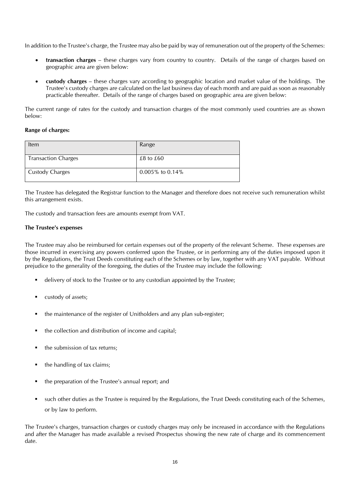In addition to the Trustee's charge, the Trustee may also be paid by way of remuneration out of the property of the Schemes:

- **transaction charges** these charges vary from country to country. Details of the range of charges based on geographic area are given below:
- **custody charges** these charges vary according to geographic location and market value of the holdings. The Trustee's custody charges are calculated on the last business day of each month and are paid as soon as reasonably practicable thereafter. Details of the range of charges based on geographic area are given below:

The current range of rates for the custody and transaction charges of the most commonly used countries are as shown below:

#### **Range of charges:**

| Item                       | Range           |
|----------------------------|-----------------|
| <b>Transaction Charges</b> | $£8$ to $£60$   |
| <b>Custody Charges</b>     | 0.005% to 0.14% |

The Trustee has delegated the Registrar function to the Manager and therefore does not receive such remuneration whilst this arrangement exists.

The custody and transaction fees are amounts exempt from VAT.

#### **The Trustee's expenses**

The Trustee may also be reimbursed for certain expenses out of the property of the relevant Scheme. These expenses are those incurred in exercising any powers conferred upon the Trustee, or in performing any of the duties imposed upon it by the Regulations, the Trust Deeds constituting each of the Schemes or by law, together with any VAT payable. Without prejudice to the generality of the foregoing, the duties of the Trustee may include the following:

- delivery of stock to the Trustee or to any custodian appointed by the Trustee;
- custody of assets;
- the maintenance of the register of Unitholders and any plan sub-register;
- the collection and distribution of income and capital;
- the submission of tax returns;
- $\blacksquare$  the handling of tax claims;
- the preparation of the Trustee's annual report; and
- such other duties as the Trustee is required by the Regulations, the Trust Deeds constituting each of the Schemes, or by law to perform.

The Trustee's charges, transaction charges or custody charges may only be increased in accordance with the Regulations and after the Manager has made available a revised Prospectus showing the new rate of charge and its commencement date.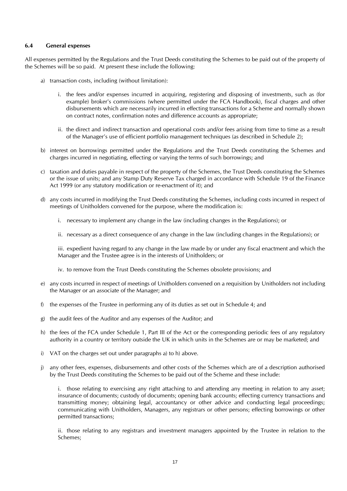#### **6.4 General expenses**

All expenses permitted by the Regulations and the Trust Deeds constituting the Schemes to be paid out of the property of the Schemes will be so paid. At present these include the following:

- a) transaction costs, including (without limitation):
	- i. the fees and/or expenses incurred in acquiring, registering and disposing of investments, such as (for example) broker's commissions (where permitted under the FCA Handbook), fiscal charges and other disbursements which are necessarily incurred in effecting transactions for a Scheme and normally shown on contract notes, confirmation notes and difference accounts as appropriate;
	- ii. the direct and indirect transaction and operational costs and/or fees arising from time to time as a result of the Manager's use of efficient portfolio management techniques (as described in Schedule 2);
- b) interest on borrowings permitted under the Regulations and the Trust Deeds constituting the Schemes and charges incurred in negotiating, effecting or varying the terms of such borrowings; and
- c) taxation and duties payable in respect of the property of the Schemes, the Trust Deeds constituting the Schemes or the issue of units; and any Stamp Duty Reserve Tax charged in accordance with Schedule 19 of the Finance Act 1999 (or any statutory modification or re-enactment of it); and
- d) any costs incurred in modifying the Trust Deeds constituting the Schemes, including costs incurred in respect of meetings of Unitholders convened for the purpose, where the modification is:
	- i. necessary to implement any change in the law (including changes in the Regulations); or
	- ii. necessary as a direct consequence of any change in the law (including changes in the Regulations); or

iii. expedient having regard to any change in the law made by or under any fiscal enactment and which the Manager and the Trustee agree is in the interests of Unitholders; or

iv. to remove from the Trust Deeds constituting the Schemes obsolete provisions; and

- e) any costs incurred in respect of meetings of Unitholders convened on a requisition by Unitholders not including the Manager or an associate of the Manager; and
- f) the expenses of the Trustee in performing any of its duties as set out in Schedule 4; and
- g) the audit fees of the Auditor and any expenses of the Auditor; and
- h) the fees of the FCA under Schedule 1, Part III of the Act or the corresponding periodic fees of any regulatory authority in a country or territory outside the UK in which units in the Schemes are or may be marketed; and
- i) VAT on the charges set out under paragraphs a) to h) above.
- j) any other fees, expenses, disbursements and other costs of the Schemes which are of a description authorised by the Trust Deeds constituting the Schemes to be paid out of the Scheme and these include:

i. those relating to exercising any right attaching to and attending any meeting in relation to any asset; insurance of documents; custody of documents; opening bank accounts; effecting currency transactions and transmitting money; obtaining legal, accountancy or other advice and conducting legal proceedings; communicating with Unitholders, Managers, any registrars or other persons; effecting borrowings or other permitted transactions;

ii. those relating to any registrars and investment managers appointed by the Trustee in relation to the Schemes;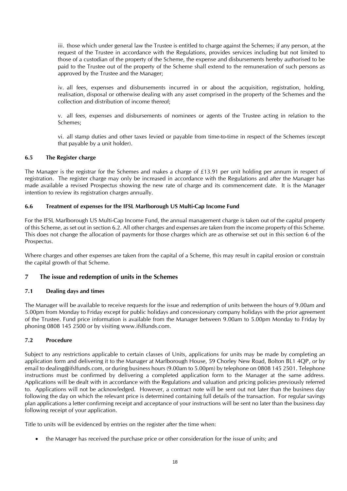iii. those which under general law the Trustee is entitled to charge against the Schemes; if any person, at the request of the Trustee in accordance with the Regulations, provides services including but not limited to those of a custodian of the property of the Scheme, the expense and disbursements hereby authorised to be paid to the Trustee out of the property of the Scheme shall extend to the remuneration of such persons as approved by the Trustee and the Manager;

iv. all fees, expenses and disbursements incurred in or about the acquisition, registration, holding, realisation, disposal or otherwise dealing with any asset comprised in the property of the Schemes and the collection and distribution of income thereof;

v. all fees, expenses and disbursements of nominees or agents of the Trustee acting in relation to the Schemes;

vi. all stamp duties and other taxes levied or payable from time-to-time in respect of the Schemes (except that payable by a unit holder).

#### **6.5 The Register charge**

The Manager is the registrar for the Schemes and makes a charge of £13.91 per unit holding per annum in respect of registration. The register charge may only be increased in accordance with the Regulations and after the Manager has made available a revised Prospectus showing the new rate of charge and its commencement date. It is the Manager intention to review its registration charges annually.

#### **6.6 Treatment of expenses for the IFSL Marlborough US Multi-Cap Income Fund**

For the IFSL Marlborough US Multi-Cap Income Fund, the annual management charge is taken out of the capital property of this Scheme, as set out in section 6.2. All other charges and expenses are taken from the income property of this Scheme. This does not change the allocation of payments for those charges which are as otherwise set out in this section 6 of the Prospectus.

Where charges and other expenses are taken from the capital of a Scheme, this may result in capital erosion or constrain the capital growth of that Scheme.

#### <span id="page-17-0"></span>**7 The issue and redemption of units in the Schemes**

#### **7.1 Dealing days and times**

The Manager will be available to receive requests for the issue and redemption of units between the hours of 9.00am and 5.00pm from Monday to Friday except for public holidays and concessionary company holidays with the prior agreement of the Trustee. Fund price information is available from the Manager between 9.00am to 5.00pm Monday to Friday by phoning 0808 145 2500 or by visiting www.ifslfunds.com.

#### **7.2 Procedure**

Subject to any restrictions applicable to certain classes of Units, applications for units may be made by completing an application form and delivering it to the Manager at Marlborough House, 59 Chorley New Road, Bolton BL1 4QP, or by email to dealing@ifslfunds.com, or during business hours (9.00am to 5.00pm) by telephone on 0808 145 2501. Telephone instructions must be confirmed by delivering a completed application form to the Manager at the same address. Applications will be dealt with in accordance with the Regulations and valuation and pricing policies previously referred to. Applications will not be acknowledged. However, a contract note will be sent out not later than the business day following the day on which the relevant price is determined containing full details of the transaction. For regular savings plan applications a letter confirming receipt and acceptance of your instructions will be sent no later than the business day following receipt of your application.

Title to units will be evidenced by entries on the register after the time when:

• the Manager has received the purchase price or other consideration for the issue of units; and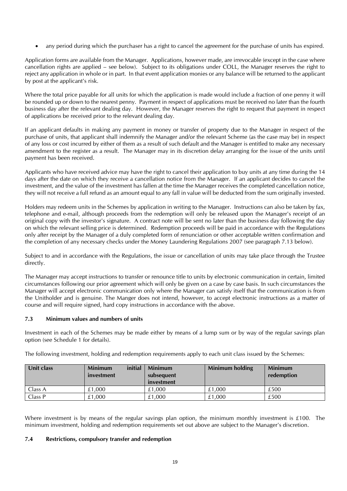• any period during which the purchaser has a right to cancel the agreement for the purchase of units has expired.

Application forms are available from the Manager. Applications, however made, are irrevocable (except in the case where cancellation rights are applied – see below). Subject to its obligations under COLL, the Manager reserves the right to reject any application in whole or in part. In that event application monies or any balance will be returned to the applicant by post at the applicant's risk.

Where the total price payable for all units for which the application is made would include a fraction of one penny it will be rounded up or down to the nearest penny. Payment in respect of applications must be received no later than the fourth business day after the relevant dealing day. However, the Manager reserves the right to request that payment in respect of applications be received prior to the relevant dealing day.

If an applicant defaults in making any payment in money or transfer of property due to the Manager in respect of the purchase of units, that applicant shall indemnify the Manager and/or the relevant Scheme (as the case may be) in respect of any loss or cost incurred by either of them as a result of such default and the Manager is entitled to make any necessary amendment to the register as a result. The Manager may in its discretion delay arranging for the issue of the units until payment has been received.

Applicants who have received advice may have the right to cancel their application to buy units at any time during the 14 days after the date on which they receive a cancellation notice from the Manager. If an applicant decides to cancel the investment, and the value of the investment has fallen at the time the Manager receives the completed cancellation notice, they will not receive a full refund as an amount equal to any fall in value will be deducted from the sum originally invested.

Holders may redeem units in the Schemes by application in writing to the Manager. Instructions can also be taken by fax, telephone and e-mail, although proceeds from the redemption will only be released upon the Manager's receipt of an original copy with the investor's signature. A contract note will be sent no later than the business day following the day on which the relevant selling price is determined. Redemption proceeds will be paid in accordance with the Regulations only after receipt by the Manager of a duly completed form of renunciation or other acceptable written confirmation and the completion of any necessary checks under the Money Laundering Regulations 2007 (see paragraph 7.13 below).

Subject to and in accordance with the Regulations, the issue or cancellation of units may take place through the Trustee directly.

The Manager may accept instructions to transfer or renounce title to units by electronic communication in certain, limited circumstances following our prior agreement which will only be given on a case by case basis. In such circumstances the Manager will accept electronic communication only where the Manager can satisfy itself that the communication is from the Unitholder and is genuine. The Manger does not intend, however, to accept electronic instructions as a matter of course and will require signed, hard copy instructions in accordance with the above.

#### **7.3 Minimum values and numbers of units**

Investment in each of the Schemes may be made either by means of a lump sum or by way of the regular savings plan option (see Schedule 1 for details).

The following investment, holding and redemption requirements apply to each unit class issued by the Schemes:

| Unit class | initial<br><b>Minimum</b><br>investment | <b>Minimum</b><br>subsequent<br>investment | Minimum holding | <b>Minimum</b><br>redemption |
|------------|-----------------------------------------|--------------------------------------------|-----------------|------------------------------|
| Class A    | £1.000                                  | £1.000                                     | £1.000          | £500                         |
| Class P    | £1.000                                  | £1.000                                     | £1.000          | £500                         |

Where investment is by means of the regular savings plan option, the minimum monthly investment is £100. The minimum investment, holding and redemption requirements set out above are subject to the Manager's discretion.

#### **7.4 Restrictions, compulsory transfer and redemption**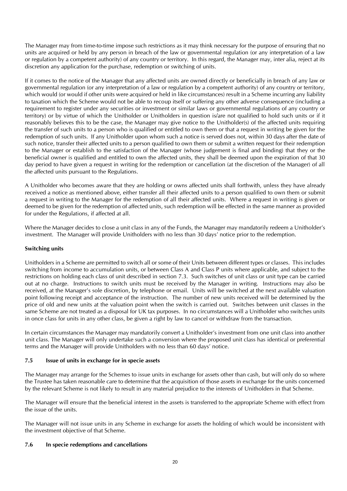The Manager may from time-to-time impose such restrictions as it may think necessary for the purpose of ensuring that no units are acquired or held by any person in breach of the law or governmental regulation (or any interpretation of a law or regulation by a competent authority) of any country or territory. In this regard, the Manager may, inter alia, reject at its discretion any application for the purchase, redemption or switching of units.

If it comes to the notice of the Manager that any affected units are owned directly or beneficially in breach of any law or governmental regulation (or any interpretation of a law or regulation by a competent authority) of any country or territory, which would (or would if other units were acquired or held in like circumstances) result in a Scheme incurring any liability to taxation which the Scheme would not be able to recoup itself or suffering any other adverse consequence (including a requirement to register under any securities or investment or similar laws or governmental regulations of any country or territory) or by virtue of which the Unitholder or Unitholders in question is/are not qualified to hold such units or if it reasonably believes this to be the case, the Manager may give notice to the Unitholder(s) of the affected units requiring the transfer of such units to a person who is qualified or entitled to own them or that a request in writing be given for the redemption of such units. If any Unitholder upon whom such a notice is served does not, within 30 days after the date of such notice, transfer their affected units to a person qualified to own them or submit a written request for their redemption to the Manager or establish to the satisfaction of the Manager (whose judgement is final and binding) that they or the beneficial owner is qualified and entitled to own the affected units, they shall be deemed upon the expiration of that 30 day period to have given a request in writing for the redemption or cancellation (at the discretion of the Manager) of all the affected units pursuant to the Regulations.

A Unitholder who becomes aware that they are holding or owns affected units shall forthwith, unless they have already received a notice as mentioned above, either transfer all their affected units to a person qualified to own them or submit a request in writing to the Manager for the redemption of all their affected units. Where a request in writing is given or deemed to be given for the redemption of affected units, such redemption will be effected in the same manner as provided for under the Regulations, if affected at all.

Where the Manager decides to close a unit class in any of the Funds, the Manager may mandatorily redeem a Unitholder's investment. The Manager will provide Unitholders with no less than 30 days' notice prior to the redemption.

#### **Switching units**

Unitholders in a Scheme are permitted to switch all or some of their Units between different types or classes. This includes switching from income to accumulation units, or between Class A and Class P units where applicable, and subject to the restrictions on holding each class of unit described in section 7.3. Such switches of unit class or unit type can be carried out at no charge. Instructions to switch units must be received by the Manager in writing. Instructions may also be received, at the Manager's sole discretion, by telephone or email. Units will be switched at the next available valuation point following receipt and acceptance of the instruction. The number of new units received will be determined by the price of old and new units at the valuation point when the switch is carried out. Switches between unit classes in the same Scheme are not treated as a disposal for UK tax purposes. In no circumstances will a Unitholder who switches units in once class for units in any other class, be given a right by law to cancel or withdraw from the transaction.

In certain circumstances the Manager may mandatorily convert a Unitholder's investment from one unit class into another unit class. The Manager will only undertake such a conversion where the proposed unit class has identical or preferential terms and the Manager will provide Unitholders with no less than 60 days' notice.

#### **7.5 Issue of units in exchange for in specie assets**

The Manager may arrange for the Schemes to issue units in exchange for assets other than cash, but will only do so where the Trustee has taken reasonable care to determine that the acquisition of those assets in exchange for the units concerned by the relevant Scheme is not likely to result in any material prejudice to the interests of Unitholders in that Scheme.

The Manager will ensure that the beneficial interest in the assets is transferred to the appropriate Scheme with effect from the issue of the units.

The Manager will not issue units in any Scheme in exchange for assets the holding of which would be inconsistent with the investment objective of that Scheme.

#### **7.6 In specie redemptions and cancellations**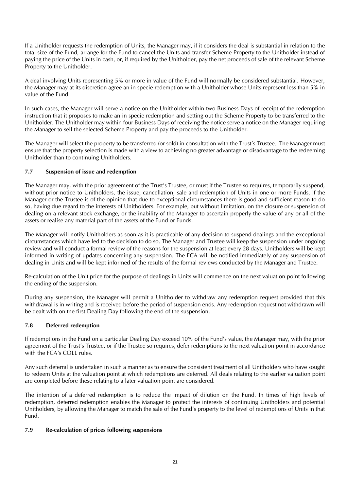If a Unitholder requests the redemption of Units, the Manager may, if it considers the deal is substantial in relation to the total size of the Fund, arrange for the Fund to cancel the Units and transfer Scheme Property to the Unitholder instead of paying the price of the Units in cash, or, if required by the Unitholder, pay the net proceeds of sale of the relevant Scheme Property to the Unitholder.

A deal involving Units representing 5% or more in value of the Fund will normally be considered substantial. However, the Manager may at its discretion agree an in specie redemption with a Unitholder whose Units represent less than 5% in value of the Fund.

In such cases, the Manager will serve a notice on the Unitholder within two Business Days of receipt of the redemption instruction that it proposes to make an in specie redemption and setting out the Scheme Property to be transferred to the Unitholder. The Unitholder may within four Business Days of receiving the notice serve a notice on the Manager requiring the Manager to sell the selected Scheme Property and pay the proceeds to the Unitholder.

The Manager will select the property to be transferred (or sold) in consultation with the Trust's Trustee. The Manager must ensure that the property selection is made with a view to achieving no greater advantage or disadvantage to the redeeming Unitholder than to continuing Unitholders.

#### **7.7 Suspension of issue and redemption**

The Manager may, with the prior agreement of the Trust's Trustee, or must if the Trustee so requires, temporarily suspend, without prior notice to Unitholders, the issue, cancellation, sale and redemption of Units in one or more Funds, if the Manager or the Trustee is of the opinion that due to exceptional circumstances there is good and sufficient reason to do so, having due regard to the interests of Unitholders. For example, but without limitation, on the closure or suspension of dealing on a relevant stock exchange, or the inability of the Manager to ascertain properly the value of any or all of the assets or realise any material part of the assets of the Fund or Funds.

The Manager will notify Unitholders as soon as it is practicable of any decision to suspend dealings and the exceptional circumstances which have led to the decision to do so. The Manager and Trustee will keep the suspension under ongoing review and will conduct a formal review of the reasons for the suspension at least every 28 days. Unitholders will be kept informed in writing of updates concerning any suspension. The FCA will be notified immediately of any suspension of dealing in Units and will be kept informed of the results of the formal reviews conducted by the Manager and Trustee.

Re-calculation of the Unit price for the purpose of dealings in Units will commence on the next valuation point following the ending of the suspension.

During any suspension, the Manager will permit a Unitholder to withdraw any redemption request provided that this withdrawal is in writing and is received before the period of suspension ends. Any redemption request not withdrawn will be dealt with on the first Dealing Day following the end of the suspension.

#### **7.8 Deferred redemption**

If redemptions in the Fund on a particular Dealing Day exceed 10% of the Fund's value, the Manager may, with the prior agreement of the Trust's Trustee, or if the Trustee so requires, defer redemptions to the next valuation point in accordance with the FCA's COLL rules.

Any such deferral is undertaken in such a manner as to ensure the consistent treatment of all Unitholders who have sought to redeem Units at the valuation point at which redemptions are deferred. All deals relating to the earlier valuation point are completed before these relating to a later valuation point are considered.

The intention of a deferred redemption is to reduce the impact of dilution on the Fund. In times of high levels of redemption, deferred redemption enables the Manager to protect the interests of continuing Unitholders and potential Unitholders, by allowing the Manager to match the sale of the Fund's property to the level of redemptions of Units in that Fund.

#### **7.9 Re-calculation of prices following suspensions**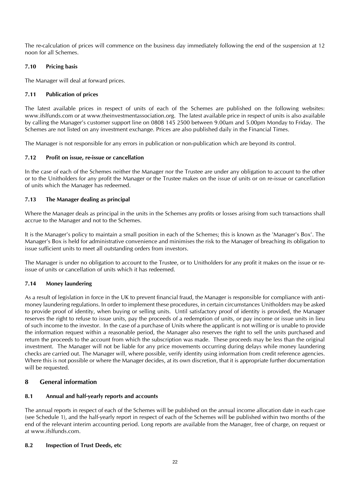The re-calculation of prices will commence on the business day immediately following the end of the suspension at 12 noon for all Schemes.

#### **7.10 Pricing basis**

The Manager will deal at forward prices.

#### **7.11 Publication of prices**

The latest available prices in respect of units of each of the Schemes are published on the following websites: www.ifslfunds.com or at www.theinvestmentassociation.org. The latest available price in respect of units is also available by calling the Manager's customer support line on 0808 145 2500 between 9.00am and 5.00pm Monday to Friday. The Schemes are not listed on any investment exchange. Prices are also published daily in the Financial Times.

The Manager is not responsible for any errors in publication or non-publication which are beyond its control.

#### **7.12 Profit on issue, re-issue or cancellation**

In the case of each of the Schemes neither the Manager nor the Trustee are under any obligation to account to the other or to the Unitholders for any profit the Manager or the Trustee makes on the issue of units or on re-issue or cancellation of units which the Manager has redeemed.

#### **7.13 The Manager dealing as principal**

Where the Manager deals as principal in the units in the Schemes any profits or losses arising from such transactions shall accrue to the Manager and not to the Schemes.

It is the Manager's policy to maintain a small position in each of the Schemes; this is known as the 'Manager's Box'. The Manager's Box is held for administrative convenience and minimises the risk to the Manager of breaching its obligation to issue sufficient units to meet all outstanding orders from investors.

The Manager is under no obligation to account to the Trustee, or to Unitholders for any profit it makes on the issue or reissue of units or cancellation of units which it has redeemed.

#### **7.14 Money laundering**

As a result of legislation in force in the UK to prevent financial fraud, the Manager is responsible for compliance with antimoney laundering regulations. In order to implement these procedures, in certain circumstances Unitholders may be asked to provide proof of identity, when buying or selling units. Until satisfactory proof of identity is provided, the Manager reserves the right to refuse to issue units, pay the proceeds of a redemption of units, or pay income or issue units in lieu of such income to the investor. In the case of a purchase of Units where the applicant is not willing or is unable to provide the information request within a reasonable period, the Manager also reserves the right to sell the units purchased and return the proceeds to the account from which the subscription was made. These proceeds may be less than the original investment. The Manager will not be liable for any price movements occurring during delays while money laundering checks are carried out. The Manager will, where possible, verify identity using information from credit reference agencies. Where this is not possible or where the Manager decides, at its own discretion, that it is appropriate further documentation will be requested.

#### <span id="page-21-0"></span>**8 General information**

#### **8.1 Annual and half-yearly reports and accounts**

The annual reports in respect of each of the Schemes will be published on the annual income allocation date in each case (see Schedule 1), and the half-yearly report in respect of each of the Schemes will be published within two months of the end of the relevant interim accounting period. Long reports are available from the Manager, free of charge, on request or at www.ifslfunds.com.

#### **8.2 Inspection of Trust Deeds, etc**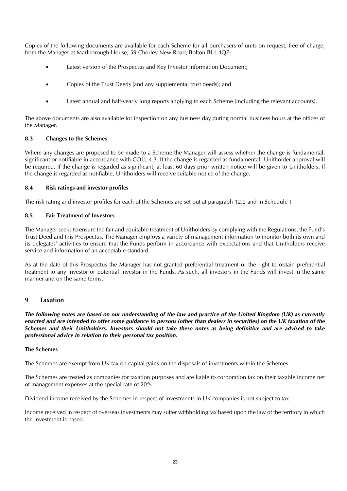Copies of the following documents are available for each Scheme for all purchasers of units on request, free of charge, from the Manager at Marlborough House, 59 Chorley New Road, Bolton BL1 4QP:

- Latest version of the Prospectus and Key Investor Information Document;
- Copies of the Trust Deeds (and any supplemental trust deeds); and
- Latest annual and half-yearly long reports applying to each Scheme (including the relevant accounts).

The above documents are also available for inspection on any business day during normal business hours at the offices of the Manager.

#### **8.3 Changes to the Schemes**

Where any changes are proposed to be made to a Scheme the Manager will assess whether the change is fundamental, significant or notifiable in accordance with COLL 4.3. If the change is regarded as fundamental, Unitholder approval will be required. If the change is regarded as significant, at least 60 days prior written notice will be given to Unitholders. If the change is regarded as notifiable, Unitholders will receive suitable notice of the change.

#### **8.4 Risk ratings and investor profiles**

The risk rating and investor profiles for each of the Schemes are set out at paragraph 12.2 and in Schedule 1.

#### **8.5 Fair Treatment of Investors**

The Manager seeks to ensure the fair and equitable treatment of Unitholders by complying with the Regulations, the Fund's Trust Deed and this Prospectus. The Manager employs a variety of management information to monitor both its own and its delegates' activities to ensure that the Funds perform in accordance with expectations and that Unitholders receive service and information of an acceptable standard.

As at the date of this Prospectus the Manager has not granted preferential treatment or the right to obtain preferential treatment to any investor or potential investor in the Funds. As such, all investors in the Funds will invest in the same manner and on the same terms.

#### <span id="page-22-0"></span>**9 Taxation**

*The following notes are based on our understanding of the law and practice of the United Kingdom (UK) as currently enacted and are intended to offer some guidance to persons (other than dealers in securities) on the UK taxation of the Schemes and their Unitholders. Investors should not take these notes as being definitive and are advised to take professional advice in relation to their personal tax position.*

#### **The Schemes**

The Schemes are exempt from UK tax on capital gains on the disposals of investments within the Schemes.

The Schemes are treated as companies for taxation purposes and are liable to corporation tax on their taxable income net of management expenses at the special rate of 20%.

Dividend income received by the Schemes in respect of investments in UK companies is not subject to tax.

Income received in respect of overseas investments may suffer withholding tax based upon the law of the territory in which the investment is based.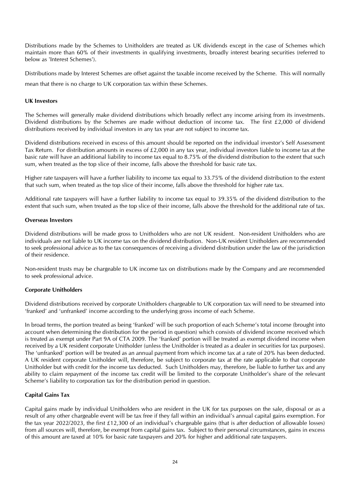Distributions made by the Schemes to Unitholders are treated as UK dividends except in the case of Schemes which maintain more than 60% of their investments in qualifying investments, broadly interest bearing securities (referred to below as 'Interest Schemes').

Distributions made by Interest Schemes are offset against the taxable income received by the Scheme. This will normally mean that there is no charge to UK corporation tax within these Schemes.

#### **UK Investors**

The Schemes will generally make dividend distributions which broadly reflect any income arising from its investments. Dividend distributions by the Schemes are made without deduction of income tax. The first £2,000 of dividend distributions received by individual investors in any tax year are not subject to income tax.

Dividend distributions received in excess of this amount should be reported on the individual investor's Self Assessment Tax Return. For distribution amounts in excess of  $£2,000$  in any tax year, individual investors liable to income tax at the basic rate will have an additional liability to income tax equal to 8.75% of the dividend distribution to the extent that such sum, when treated as the top slice of their income, falls above the threshold for basic rate tax.

Higher rate taxpayers will have a further liability to income tax equal to 33.75% of the dividend distribution to the extent that such sum, when treated as the top slice of their income, falls above the threshold for higher rate tax.

Additional rate taxpayers will have a further liability to income tax equal to 39.35% of the dividend distribution to the extent that such sum, when treated as the top slice of their income, falls above the threshold for the additional rate of tax.

#### **Overseas Investors**

Dividend distributions will be made gross to Unitholders who are not UK resident. Non-resident Unitholders who are individuals are not liable to UK income tax on the dividend distribution. Non-UK resident Unitholders are recommended to seek professional advice as to the tax consequences of receiving a dividend distribution under the law of the jurisdiction of their residence.

Non-resident trusts may be chargeable to UK income tax on distributions made by the Company and are recommended to seek professional advice.

#### **Corporate Unitholders**

Dividend distributions received by corporate Unitholders chargeable to UK corporation tax will need to be streamed into 'franked' and 'unfranked' income according to the underlying gross income of each Scheme.

In broad terms, the portion treated as being 'franked' will be such proportion of each Scheme's total income (brought into account when determining the distribution for the period in question) which consists of dividend income received which is treated as exempt under Part 9A of CTA 2009. The 'franked' portion will be treated as exempt dividend income when received by a UK resident corporate Unitholder (unless the Unitholder is treated as a dealer in securities for tax purposes). The 'unfranked' portion will be treated as an annual payment from which income tax at a rate of 20% has been deducted. A UK resident corporate Unitholder will, therefore, be subject to corporate tax at the rate applicable to that corporate Unitholder but with credit for the income tax deducted. Such Unitholders may, therefore, be liable to further tax and any ability to claim repayment of the income tax credit will be limited to the corporate Unitholder's share of the relevant Scheme's liability to corporation tax for the distribution period in question.

#### **Capital Gains Tax**

Capital gains made by individual Unitholders who are resident in the UK for tax purposes on the sale, disposal or as a result of any other chargeable event will be tax free if they fall within an individual's annual capital gains exemption. For the tax year 2022/2023, the first £12,300 of an individual's chargeable gains (that is after deduction of allowable losses) from all sources will, therefore, be exempt from capital gains tax. Subject to their personal circumstances, gains in excess of this amount are taxed at 10% for basic rate taxpayers and 20% for higher and additional rate taxpayers.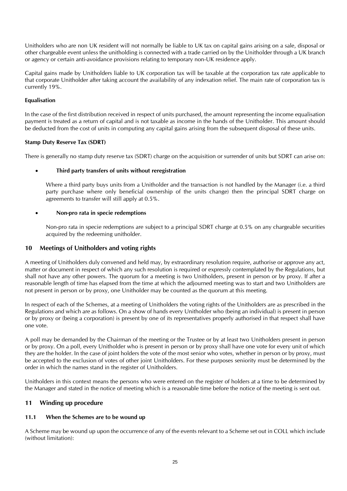Unitholders who are non UK resident will not normally be liable to UK tax on capital gains arising on a sale, disposal or other chargeable event unless the unitholding is connected with a trade carried on by the Unitholder through a UK branch or agency or certain anti-avoidance provisions relating to temporary non-UK residence apply.

Capital gains made by Unitholders liable to UK corporation tax will be taxable at the corporation tax rate applicable to that corporate Unitholder after taking account the availability of any indexation relief. The main rate of corporation tax is currently 19%.

#### **Equalisation**

In the case of the first distribution received in respect of units purchased, the amount representing the income equalisation payment is treated as a return of capital and is not taxable as income in the hands of the Unitholder. This amount should be deducted from the cost of units in computing any capital gains arising from the subsequent disposal of these units.

#### **Stamp Duty Reserve Tax (SDRT)**

There is generally no stamp duty reserve tax (SDRT) charge on the acquisition or surrender of units but SDRT can arise on:

#### • **Third party transfers of units without reregistration**

Where a third party buys units from a Unitholder and the transaction is not handled by the Manager (i.e. a third party purchase where only beneficial ownership of the units change) then the principal SDRT charge on agreements to transfer will still apply at 0.5%.

#### • **Non-pro rata in specie redemptions**

Non-pro rata in specie redemptions are subject to a principal SDRT charge at 0.5% on any chargeable securities acquired by the redeeming unitholder.

#### <span id="page-24-0"></span>**10 Meetings of Unitholders and voting rights**

A meeting of Unitholders duly convened and held may, by extraordinary resolution require, authorise or approve any act, matter or document in respect of which any such resolution is required or expressly contemplated by the Regulations, but shall not have any other powers. The quorum for a meeting is two Unitholders, present in person or by proxy. If after a reasonable length of time has elapsed from the time at which the adjourned meeting was to start and two Unitholders are not present in person or by proxy, one Unitholder may be counted as the quorum at this meeting.

In respect of each of the Schemes, at a meeting of Unitholders the voting rights of the Unitholders are as prescribed in the Regulations and which are as follows. On a show of hands every Unitholder who (being an individual) is present in person or by proxy or (being a corporation) is present by one of its representatives properly authorised in that respect shall have one vote.

A poll may be demanded by the Chairman of the meeting or the Trustee or by at least two Unitholders present in person or by proxy. On a poll, every Unitholder who is present in person or by proxy shall have one vote for every unit of which they are the holder. In the case of joint holders the vote of the most senior who votes, whether in person or by proxy, must be accepted to the exclusion of votes of other joint Unitholders. For these purposes seniority must be determined by the order in which the names stand in the register of Unitholders.

Unitholders in this context means the persons who were entered on the register of holders at a time to be determined by the Manager and stated in the notice of meeting which is a reasonable time before the notice of the meeting is sent out.

#### <span id="page-24-1"></span>**11 Winding up procedure**

#### **11.1 When the Schemes are to be wound up**

A Scheme may be wound up upon the occurrence of any of the events relevant to a Scheme set out in COLL which include (without limitation):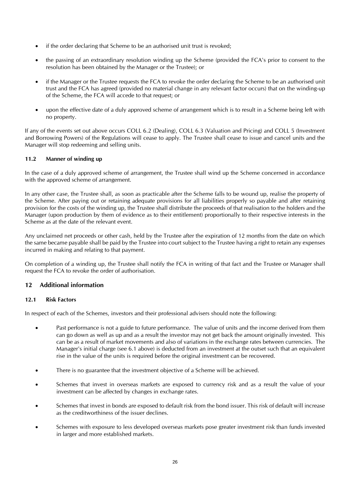- if the order declaring that Scheme to be an authorised unit trust is revoked;
- the passing of an extraordinary resolution winding up the Scheme (provided the FCA's prior to consent to the resolution has been obtained by the Manager or the Trustee); or
- if the Manager or the Trustee requests the FCA to revoke the order declaring the Scheme to be an authorised unit trust and the FCA has agreed (provided no material change in any relevant factor occurs) that on the winding-up of the Scheme, the FCA will accede to that request; or
- upon the effective date of a duly approved scheme of arrangement which is to result in a Scheme being left with no property.

If any of the events set out above occurs COLL 6.2 (Dealing), COLL 6.3 (Valuation and Pricing) and COLL 5 (Investment and Borrowing Powers) of the Regulations will cease to apply. The Trustee shall cease to issue and cancel units and the Manager will stop redeeming and selling units.

#### **11.2 Manner of winding up**

In the case of a duly approved scheme of arrangement, the Trustee shall wind up the Scheme concerned in accordance with the approved scheme of arrangement.

In any other case, the Trustee shall, as soon as practicable after the Scheme falls to be wound up, realise the property of the Scheme. After paying out or retaining adequate provisions for all liabilities properly so payable and after retaining provision for the costs of the winding up, the Trustee shall distribute the proceeds of that realisation to the holders and the Manager (upon production by them of evidence as to their entitlement) proportionally to their respective interests in the Scheme as at the date of the relevant event.

Any unclaimed net proceeds or other cash, held by the Trustee after the expiration of 12 months from the date on which the same became payable shall be paid by the Trustee into court subject to the Trustee having a right to retain any expenses incurred in making and relating to that payment.

On completion of a winding up, the Trustee shall notify the FCA in writing of that fact and the Trustee or Manager shall request the FCA to revoke the order of authorisation.

#### <span id="page-25-0"></span>**12 Additional information**

#### **12.1 Risk Factors**

In respect of each of the Schemes, investors and their professional advisers should note the following:

- Past performance is not a guide to future performance. The value of units and the income derived from them can go down as well as up and as a result the investor may not get back the amount originally invested. This can be as a result of market movements and also of variations in the exchange rates between currencies. The Manager's initial charge (see 6.1 above) is deducted from an investment at the outset such that an equivalent rise in the value of the units is required before the original investment can be recovered.
- There is no guarantee that the investment objective of a Scheme will be achieved.
- Schemes that invest in overseas markets are exposed to currency risk and as a result the value of your investment can be affected by changes in exchange rates.
- Schemes that invest in bonds are exposed to default risk from the bond issuer. This risk of default will increase as the creditworthiness of the issuer declines.
- Schemes with exposure to less developed overseas markets pose greater investment risk than funds invested in larger and more established markets.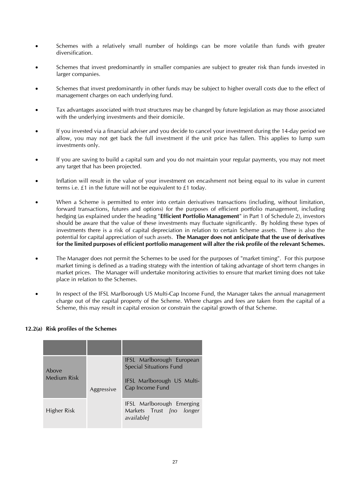- Schemes with a relatively small number of holdings can be more volatile than funds with greater diversification.
- Schemes that invest predominantly in smaller companies are subject to greater risk than funds invested in larger companies.
- Schemes that invest predominantly in other funds may be subject to higher overall costs due to the effect of management charges on each underlying fund.
- Tax advantages associated with trust structures may be changed by future legislation as may those associated with the underlying investments and their domicile.
- If you invested via a financial adviser and you decide to cancel your investment during the 14-day period we allow, you may not get back the full investment if the unit price has fallen. This applies to lump sum investments only.
- If you are saving to build a capital sum and you do not maintain your regular payments, you may not meet any target that has been projected.
- Inflation will result in the value of your investment on encashment not being equal to its value in current terms i.e. £1 in the future will not be equivalent to £1 today.
- When a Scheme is permitted to enter into certain derivatives transactions (including, without limitation, forward transactions, futures and options) for the purposes of efficient portfolio management, including hedging (as explained under the heading "**Efficient Portfolio Management**" in Part 1 of Schedule 2), investors should be aware that the value of these investments may fluctuate significantly. By holding these types of investments there is a risk of capital depreciation in relation to certain Scheme assets. There is also the potential for capital appreciation of such assets. **The Manager does not anticipate that the use of derivatives for the limited purposes of efficient portfolio management will alter the risk profile of the relevant Schemes.**
- The Manager does not permit the Schemes to be used for the purposes of "market timing". For this purpose market timing is defined as a trading strategy with the intention of taking advantage of short term changes in market prices. The Manager will undertake monitoring activities to ensure that market timing does not take place in relation to the Schemes.
- In respect of the IFSL Marlborough US Multi-Cap Income Fund, the Manager takes the annual management charge out of the capital property of the Scheme. Where charges and fees are taken from the capital of a Scheme, this may result in capital erosion or constrain the capital growth of that Scheme.

#### **12.2(a) Risk profiles of the Schemes**

| Above<br><b>Medium Risk</b> |            | IFSL Marlborough European<br><b>Special Situations Fund</b><br>IFSL Marlborough US Multi- |
|-----------------------------|------------|-------------------------------------------------------------------------------------------|
|                             | Aggressive | Cap Income Fund                                                                           |
| Higher Risk                 |            | IFSL Marlborough Emerging<br>Markets Trust <i>[no longer</i><br>availablel                |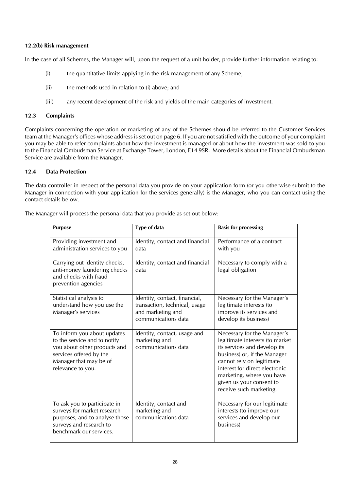#### **12.2(b) Risk management**

In the case of all Schemes, the Manager will, upon the request of a unit holder, provide further information relating to:

- (i) the quantitative limits applying in the risk management of any Scheme;
- (ii) the methods used in relation to (i) above; and
- (iii) any recent development of the risk and yields of the main categories of investment.

#### **12.3 Complaints**

Complaints concerning the operation or marketing of any of the Schemes should be referred to the Customer Services team at the Manager's offices whose address is set out on page 6. If you are not satisfied with the outcome of your complaint you may be able to refer complaints about how the investment is managed or about how the investment was sold to you to the Financial Ombudsman Service at Exchange Tower, London, E14 9SR. More details about the Financial Ombudsman Service are available from the Manager.

#### **12.4 Data Protection**

The data controller in respect of the personal data you provide on your application form (or you otherwise submit to the Manager in connection with your application for the services generally) is the Manager, who you can contact using the contact details below.

| <b>Purpose</b>                                                                                                                                                        | Type of data                                                                                               | <b>Basis for processing</b>                                                                                                                                                                                                                                                       |
|-----------------------------------------------------------------------------------------------------------------------------------------------------------------------|------------------------------------------------------------------------------------------------------------|-----------------------------------------------------------------------------------------------------------------------------------------------------------------------------------------------------------------------------------------------------------------------------------|
| Providing investment and<br>administration services to you                                                                                                            | Identity, contact and financial<br>data                                                                    | Performance of a contract<br>with you                                                                                                                                                                                                                                             |
| Carrying out identity checks,<br>anti-money laundering checks<br>and checks with fraud<br>prevention agencies                                                         | Identity, contact and financial<br>data                                                                    | Necessary to comply with a<br>legal obligation                                                                                                                                                                                                                                    |
| Statistical analysis to<br>understand how you use the<br>Manager's services                                                                                           | Identity, contact, financial,<br>transaction, technical, usage<br>and marketing and<br>communications data | Necessary for the Manager's<br>legitimate interests (to<br>improve its services and<br>develop its business)                                                                                                                                                                      |
| To inform you about updates<br>to the service and to notify<br>you about other products and<br>services offered by the<br>Manager that may be of<br>relevance to you. | Identity, contact, usage and<br>marketing and<br>communications data                                       | Necessary for the Manager's<br>legitimate interests (to market<br>its services and develop its<br>business) or, if the Manager<br>cannot rely on legitimate<br>interest for direct electronic<br>marketing, where you have<br>given us your consent to<br>receive such marketing. |
| To ask you to participate in<br>surveys for market research<br>purposes, and to analyse those<br>surveys and research to<br>benchmark our services.                   | Identity, contact and<br>marketing and<br>communications data                                              | Necessary for our legitimate<br>interests (to improve our<br>services and develop our<br>business)                                                                                                                                                                                |

The Manager will process the personal data that you provide as set out below: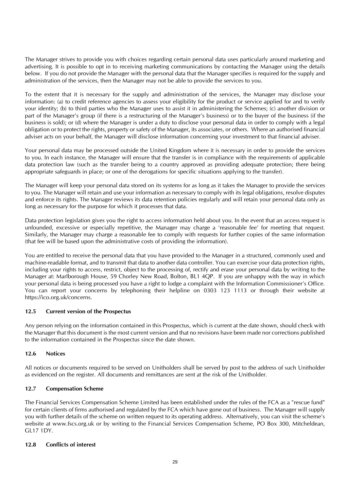The Manager strives to provide you with choices regarding certain personal data uses particularly around marketing and advertising. It is possible to opt in to receiving marketing communications by contacting the Manager using the details below. If you do not provide the Manager with the personal data that the Manager specifies is required for the supply and administration of the services, then the Manager may not be able to provide the services to you.

To the extent that it is necessary for the supply and administration of the services, the Manager may disclose your information: (a) to credit reference agencies to assess your eligibility for the product or service applied for and to verify your identity; (b) to third parties who the Manager uses to assist it in administering the Schemes; (c) another division or part of the Manager's group (if there is a restructuring of the Manager's business) or to the buyer of the business (if the business is sold); or (d) where the Manager is under a duty to disclose your personal data in order to comply with a legal obligation or to protect the rights, property or safety of the Manager, its associates, or others. Where an authorised financial adviser acts on your behalf, the Manager will disclose information concerning your investment to that financial adviser.

Your personal data may be processed outside the United Kingdom where it is necessary in order to provide the services to you. In each instance, the Manager will ensure that the transfer is in compliance with the requirements of applicable data protection law (such as the transfer being to a country approved as providing adequate protection; there being appropriate safeguards in place; or one of the derogations for specific situations applying to the transfer).

The Manager will keep your personal data stored on its systems for as long as it takes the Manager to provide the services to you. The Manager will retain and use your information as necessary to comply with its legal obligations, resolve disputes and enforce its rights. The Manager reviews its data retention policies regularly and will retain your personal data only as long as necessary for the purpose for which it processes that data.

Data protection legislation gives you the right to access information held about you. In the event that an access request is unfounded, excessive or especially repetitive, the Manager may charge a 'reasonable fee' for meeting that request. Similarly, the Manager may charge a reasonable fee to comply with requests for further copies of the same information (that fee will be based upon the administrative costs of providing the information).

You are entitled to receive the personal data that you have provided to the Manager in a structured, commonly used and machine-readable format, and to transmit that data to another data controller. You can exercise your data protection rights, including your rights to access, restrict, object to the processing of, rectify and erase your personal data by writing to the Manager at: Marlborough House, 59 Chorley New Road, Bolton, BL1 4QP. If you are unhappy with the way in which your personal data is being processed you have a right to lodge a complaint with the Information Commissioner's Office. You can report your concerns by telephoning their helpline on 0303 123 1113 or through their website at https://ico.org.uk/concerns.

#### **12.5 Current version of the Prospectus**

Any person relying on the information contained in this Prospectus, which is current at the date shown, should check with the Manager that this document is the most current version and that no revisions have been made nor corrections published to the information contained in the Prospectus since the date shown.

#### **12.6 Notices**

All notices or documents required to be served on Unitholders shall be served by post to the address of such Unitholder as evidenced on the register. All documents and remittances are sent at the risk of the Unitholder.

#### **12.7 Compensation Scheme**

The Financial Services Compensation Scheme Limited has been established under the rules of the FCA as a "rescue fund" for certain clients of firms authorised and regulated by the FCA which have gone out of business. The Manager will supply you with further details of the scheme on written request to its operating address. Alternatively, you can visit the scheme's website at www.fscs.org.uk or by writing to the Financial Services Compensation Scheme, PO Box 300, Mitcheldean, GL17 1DY.

#### **12.8 Conflicts of interest**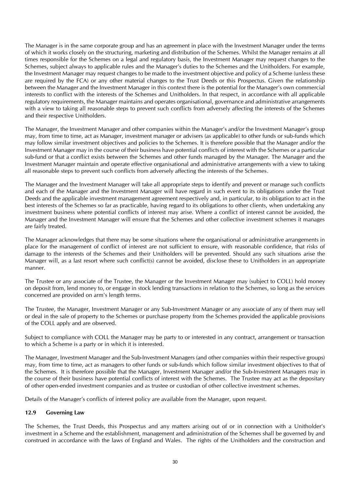The Manager is in the same corporate group and has an agreement in place with the Investment Manager under the terms of which it works closely on the structuring, marketing and distribution of the Schemes. Whilst the Manager remains at all times responsible for the Schemes on a legal and regulatory basis, the Investment Manager may request changes to the Schemes, subject always to applicable rules and the Manager's duties to the Schemes and the Unitholders. For example, the Investment Manager may request changes to be made to the investment objective and policy of a Scheme (unless these are required by the FCA) or any other material changes to the Trust Deeds or this Prospectus. Given the relationship between the Manager and the Investment Manager in this context there is the potential for the Manager's own commercial interests to conflict with the interests of the Schemes and Unitholders. In that respect, in accordance with all applicable regulatory requirements, the Manager maintains and operates organisational, governance and administrative arrangements with a view to taking all reasonable steps to prevent such conflicts from adversely affecting the interests of the Schemes and their respective Unitholders.

The Manager, the Investment Manager and other companies within the Manager's and/or the Investment Manager's group may, from time to time, act as Manager, investment manager or advisers (as applicable) to other funds or sub-funds which may follow similar investment objectives and policies to the Schemes. It is therefore possible that the Manager and/or the Investment Manager may in the course of their business have potential conflicts of interest with the Schemes or a particular sub-fund or that a conflict exists between the Schemes and other funds managed by the Manager. The Manager and the Investment Manager maintain and operate effective organisational and administrative arrangements with a view to taking all reasonable steps to prevent such conflicts from adversely affecting the interests of the Schemes.

The Manager and the Investment Manager will take all appropriate steps to identify and prevent or manage such conflicts and each of the Manager and the Investment Manager will have regard in such event to its obligations under the Trust Deeds and the applicable investment management agreement respectively and, in particular, to its obligation to act in the best interests of the Schemes so far as practicable, having regard to its obligations to other clients, when undertaking any investment business where potential conflicts of interest may arise. Where a conflict of interest cannot be avoided, the Manager and the Investment Manager will ensure that the Schemes and other collective investment schemes it manages are fairly treated.

The Manager acknowledges that there may be some situations where the organisational or administrative arrangements in place for the management of conflict of interest are not sufficient to ensure, with reasonable confidence, that risks of damage to the interests of the Schemes and their Unitholders will be prevented. Should any such situations arise the Manager will, as a last resort where such conflict(s) cannot be avoided, disclose these to Unitholders in an appropriate manner.

The Trustee or any associate of the Trustee, the Manager or the Investment Manager may (subject to COLL) hold money on deposit from, lend money to, or engage in stock lending transactions in relation to the Schemes, so long as the services concerned are provided on arm's length terms.

The Trustee, the Manager, Investment Manager or any Sub-Investment Manager or any associate of any of them may sell or deal in the sale of property to the Schemes or purchase property from the Schemes provided the applicable provisions of the COLL apply and are observed.

Subject to compliance with COLL the Manager may be party to or interested in any contract, arrangement or transaction to which a Scheme is a party or in which it is interested.

The Manager, Investment Manager and the Sub-Investment Managers (and other companies within their respective groups) may, from time to time, act as managers to other funds or sub-funds which follow similar investment objectives to that of the Schemes. It is therefore possible that the Manager, Investment Manager and/or the Sub-Investment Managers may in the course of their business have potential conflicts of interest with the Schemes. The Trustee may act as the depositary of other open-ended investment companies and as trustee or custodian of other collective investment schemes.

Details of the Manager's conflicts of interest policy are available from the Manager, upon request.

#### **12.9 Governing Law**

The Schemes, the Trust Deeds, this Prospectus and any matters arising out of or in connection with a Unitholder's investment in a Scheme and the establishment, management and administration of the Schemes shall be governed by and construed in accordance with the laws of England and Wales. The rights of the Unitholders and the construction and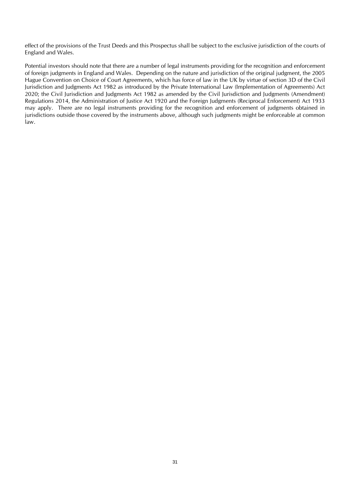effect of the provisions of the Trust Deeds and this Prospectus shall be subject to the exclusive jurisdiction of the courts of England and Wales.

Potential investors should note that there are a number of legal instruments providing for the recognition and enforcement of foreign judgments in England and Wales. Depending on the nature and jurisdiction of the original judgment, the 2005 Hague Convention on Choice of Court Agreements, which has force of law in the UK by virtue of section 3D of the Civil Jurisdiction and Judgments Act 1982 as introduced by the Private International Law (Implementation of Agreements) Act 2020; the Civil Jurisdiction and Judgments Act 1982 as amended by the Civil Jurisdiction and Judgments (Amendment) Regulations 2014, the Administration of Justice Act 1920 and the Foreign Judgments (Reciprocal Enforcement) Act 1933 may apply. There are no legal instruments providing for the recognition and enforcement of judgments obtained in jurisdictions outside those covered by the instruments above, although such judgments might be enforceable at common law.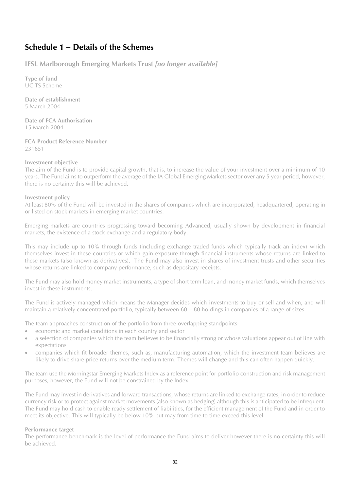### <span id="page-31-0"></span>**Schedule 1 – Details of the Schemes**

<span id="page-31-1"></span>**IFSL Marlborough Emerging Markets Trust** *[no longer available]*

**Type of fund** UCITS Scheme

**Date of establishment** 5 March 2004

**Date of FCA Authorisation** 15 March 2004

**FCA Product Reference Number** 231651

#### **Investment objective**

The aim of the Fund is to provide capital growth, that is, to increase the value of your investment over a minimum of 10 years. The Fund aims to outperform the average of the IA Global Emerging Markets sector over any 5 year period, however, there is no certainty this will be achieved.

#### **Investment policy**

At least 80% of the Fund will be invested in the shares of companies which are incorporated, headquartered, operating in or listed on stock markets in emerging market countries.

Emerging markets are countries progressing toward becoming Advanced, usually shown by development in financial markets, the existence of a stock exchange and a regulatory body.

This may include up to 10% through funds (including exchange traded funds which typically track an index) which themselves invest in these countries or which gain exposure through financial instruments whose returns are linked to these markets (also known as derivatives). The Fund may also invest in shares of investment trusts and other securities whose returns are linked to company performance, such as depositary receipts.

The Fund may also hold money market instruments, a type of short term loan, and money market funds, which themselves invest in these instruments.

The Fund is actively managed which means the Manager decides which investments to buy or sell and when, and will maintain a relatively concentrated portfolio, typically between 60 – 80 holdings in companies of a range of sizes.

The team approaches construction of the portfolio from three overlapping standpoints:

- economic and market conditions in each country and sector
- a selection of companies which the team believes to be financially strong or whose valuations appear out of line with expectations
- companies which fit broader themes, such as, manufacturing automation, which the investment team believes are likely to drive share price returns over the medium term. Themes will change and this can often happen quickly.

The team use the Morningstar Emerging Markets Index as a reference point for portfolio construction and risk management purposes, however, the Fund will not be constrained by the Index.

The Fund may invest in derivatives and forward transactions, whose returns are linked to exchange rates, in order to reduce currency risk or to protect against market movements (also known as hedging) although this is anticipated to be infrequent. The Fund may hold cash to enable ready settlement of liabilities, for the efficient management of the Fund and in order to meet its objective. This will typically be below 10% but may from time to time exceed this level.

#### **Performance target**

The performance benchmark is the level of performance the Fund aims to deliver however there is no certainty this will be achieved.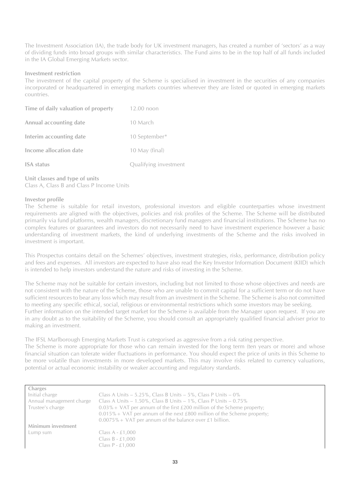The Investment Association (IA), the trade body for UK investment managers, has created a number of 'sectors' as a way of dividing funds into broad groups with similar characteristics. The Fund aims to be in the top half of all funds included in the IA Global Emerging Markets sector.

#### **Investment restriction**

The investment of the capital property of the Scheme is specialised in investment in the securities of any companies incorporated or headquartered in emerging markets countries wherever they are listed or quoted in emerging markets countries.

| Time of daily valuation of property | 12.00 noon            |
|-------------------------------------|-----------------------|
| Annual accounting date              | 10 March              |
| Interim accounting date             | 10 September*         |
| Income allocation date              | 10 May (final)        |
| <b>ISA</b> status                   | Qualifying investment |

#### **Unit classes and type of units** Class A, Class B and Class P Income Units

#### **Investor profile**

The Scheme is suitable for retail investors, professional investors and eligible counterparties whose investment requirements are aligned with the objectives, policies and risk profiles of the Scheme. The Scheme will be distributed primarily via fund platforms, wealth managers, discretionary fund managers and financial institutions. The Scheme has no complex features or guarantees and investors do not necessarily need to have investment experience however a basic understanding of investment markets, the kind of underlying investments of the Scheme and the risks involved in investment is important.

This Prospectus contains detail on the Schemes' objectives, investment strategies, risks, performance, distribution policy and fees and expenses. All investors are expected to have also read the Key Investor Information Document (KIID) which is intended to help investors understand the nature and risks of investing in the Scheme.

The Scheme may not be suitable for certain investors, including but not limited to those whose objectives and needs are not consistent with the nature of the Scheme, those who are unable to commit capital for a sufficient term or do not have sufficient resources to bear any loss which may result from an investment in the Scheme. The Scheme is also not committed to meeting any specific ethical, social, religious or environmental restrictions which some investors may be seeking. Further information on the intended target market for the Scheme is available from the Manager upon request. If you are in any doubt as to the suitability of the Scheme, you should consult an appropriately qualified financial adviser prior to making an investment.

The IFSL Marlborough Emerging Markets Trust is categorised as aggressive from a risk rating perspective. The Scheme is more appropriate for those who can remain invested for the long term (ten years or more) and whose financial situation can tolerate wider fluctuations in performance. You should expect the price of units in this Scheme to be more volatile than investments in more developed markets. This may involve risks related to currency valuations, potential or actual economic instability or weaker accounting and regulatory standards.

| <b>Charges</b>           |                                                                            |
|--------------------------|----------------------------------------------------------------------------|
| Initial charge           | Class A Units $-$ 5.25%, Class B Units $-$ 5%, Class P Units $-$ 0%        |
| Annual management charge | Class A Units $-1.50\%$ , Class B Units $-1\%$ , Class P Units $-0.75\%$   |
| Trustee's charge         | $0.03\%$ + VAT per annum of the first £200 million of the Scheme property; |
|                          | $0.015\%$ + VAT per annum of the next £800 million of the Scheme property; |
|                          | $0.0075\%$ + VAT per annum of the balance over £1 billion.                 |
| Minimum investment       |                                                                            |
| Lump sum                 | Class $A - £1,000$                                                         |
|                          | Class $B - £1,000$                                                         |
|                          | Class $P - £1,000$                                                         |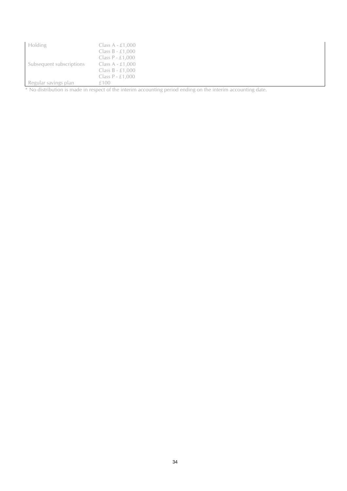| Holding                  | Class $A - £1,000$ |  |  |
|--------------------------|--------------------|--|--|
|                          | Class $B - £1,000$ |  |  |
|                          | Class $P - £1,000$ |  |  |
| Subsequent subscriptions | Class $A - £1,000$ |  |  |
|                          | Class $B - £1,000$ |  |  |
|                          | Class $P - £1,000$ |  |  |
| Regular savings plan     | £100               |  |  |

\* No distribution is made in respect of the interim accounting period ending on the interim accounting date.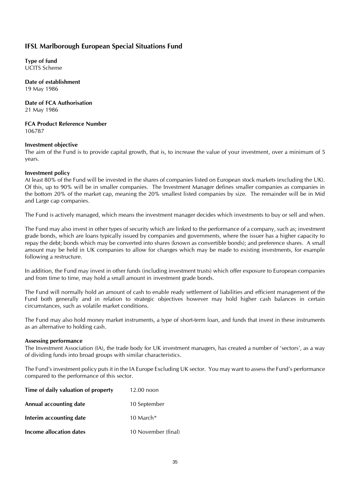### <span id="page-34-0"></span>**IFSL Marlborough European Special Situations Fund**

**Type of fund** UCITS Scheme

**Date of establishment** 19 May 1986

**Date of FCA Authorisation** 21 May 1986

**FCA Product Reference Number** 106787

#### **Investment objective**

The aim of the Fund is to provide capital growth, that is, to increase the value of your investment, over a minimum of 5 years.

#### **Investment policy**

At least 80% of the Fund will be invested in the shares of companies listed on European stock markets (excluding the UK). Of this, up to 90% will be in smaller companies. The Investment Manager defines smaller companies as companies in the bottom 20% of the market cap, meaning the 20% smallest listed companies by size. The remainder will be in Mid and Large cap companies.

The Fund is actively managed, which means the investment manager decides which investments to buy or sell and when.

The Fund may also invest in other types of security which are linked to the performance of a company, such as; investment grade bonds, which are loans typically issued by companies and governments, where the issuer has a higher capacity to repay the debt; bonds which may be converted into shares (known as convertible bonds); and preference shares. A small amount may be held in UK companies to allow for changes which may be made to existing investments, for example following a restructure.

In addition, the Fund may invest in other funds (including investment trusts) which offer exposure to European companies and from time to time, may hold a small amount in investment grade bonds.

The Fund will normally hold an amount of cash to enable ready settlement of liabilities and efficient management of the Fund both generally and in relation to strategic objectives however may hold higher cash balances in certain circumstances, such as volatile market conditions.

The Fund may also hold money market instruments, a type of short-term loan, and funds that invest in these instruments as an alternative to holding cash.

#### **Assessing performance**

The Investment Association (IA), the trade body for UK investment managers, has created a number of 'sectors', as a way of dividing funds into broad groups with similar characteristics.

The Fund's investment policy puts it in the IA Europe Excluding UK sector. You may want to assess the Fund's performance compared to the performance of this sector.

| Time of daily valuation of property | $12.00$ noon        |  |
|-------------------------------------|---------------------|--|
| Annual accounting date              | 10 September        |  |
| Interim accounting date             | 10 March $*$        |  |
| Income allocation dates             | 10 November (final) |  |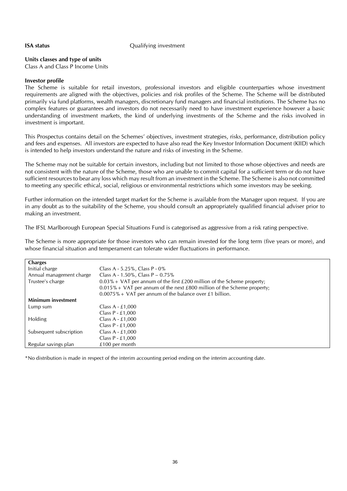#### **ISA status** Qualifying investment

#### **Units classes and type of units**

Class A and Class P Income Units

#### **Investor profile**

The Scheme is suitable for retail investors, professional investors and eligible counterparties whose investment requirements are aligned with the objectives, policies and risk profiles of the Scheme. The Scheme will be distributed primarily via fund platforms, wealth managers, discretionary fund managers and financial institutions. The Scheme has no complex features or guarantees and investors do not necessarily need to have investment experience however a basic understanding of investment markets, the kind of underlying investments of the Scheme and the risks involved in investment is important.

This Prospectus contains detail on the Schemes' objectives, investment strategies, risks, performance, distribution policy and fees and expenses. All investors are expected to have also read the Key Investor Information Document (KIID) which is intended to help investors understand the nature and risks of investing in the Scheme.

The Scheme may not be suitable for certain investors, including but not limited to those whose objectives and needs are not consistent with the nature of the Scheme, those who are unable to commit capital for a sufficient term or do not have sufficient resources to bear any loss which may result from an investment in the Scheme. The Scheme is also not committed to meeting any specific ethical, social, religious or environmental restrictions which some investors may be seeking.

Further information on the intended target market for the Scheme is available from the Manager upon request. If you are in any doubt as to the suitability of the Scheme, you should consult an appropriately qualified financial adviser prior to making an investment.

The IFSL Marlborough European Special Situations Fund is categorised as aggressive from a risk rating perspective.

The Scheme is more appropriate for those investors who can remain invested for the long term (five years or more), and whose financial situation and temperament can tolerate wider fluctuations in performance.

| <b>Charges</b>           |                                                                            |
|--------------------------|----------------------------------------------------------------------------|
| Initial charge           | Class A - $5.25\%$ , Class P - 0%                                          |
| Annual management charge | Class A - $1.50\%$ , Class P – $0.75\%$                                    |
| Trustee's charge         | $0.03\%$ + VAT per annum of the first £200 million of the Scheme property; |
|                          | $0.015\%$ + VAT per annum of the next £800 million of the Scheme property; |
|                          | $0.0075\% + \text{VAT}$ per annum of the balance over £1 billion.          |
| Minimum investment       |                                                                            |
| Lump sum                 | Class A - £1,000                                                           |
|                          | Class $P - £1,000$                                                         |
| <b>Holding</b>           | Class $A - £1,000$                                                         |
|                          | Class $P - £1,000$                                                         |
| Subsequent subscription  | Class $A - £1,000$                                                         |
|                          | Class $P - £1,000$                                                         |
| Regular savings plan     | $£100$ per month                                                           |

\*No distribution is made in respect of the interim accounting period ending on the interim accounting date.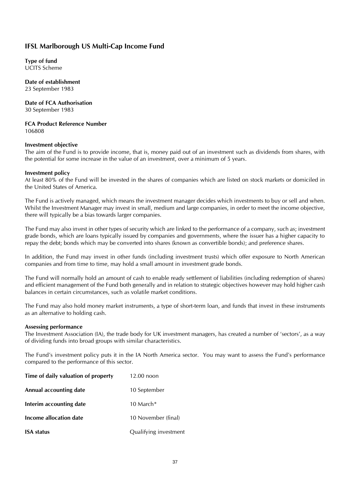### <span id="page-36-0"></span>**IFSL Marlborough US Multi-Cap Income Fund**

**Type of fund** UCITS Scheme

### **Date of establishment**

23 September 1983

#### **Date of FCA Authorisation** 30 September 1983

**FCA Product Reference Number**

106808

#### **Investment objective**

The aim of the Fund is to provide income, that is, money paid out of an investment such as dividends from shares, with the potential for some increase in the value of an investment, over a minimum of 5 years.

#### **Investment policy**

At least 80% of the Fund will be invested in the shares of companies which are listed on stock markets or domiciled in the United States of America.

The Fund is actively managed, which means the investment manager decides which investments to buy or sell and when. Whilst the Investment Manager may invest in small, medium and large companies, in order to meet the income objective, there will typically be a bias towards larger companies.

The Fund may also invest in other types of security which are linked to the performance of a company, such as; investment grade bonds, which are loans typically issued by companies and governments, where the issuer has a higher capacity to repay the debt; bonds which may be converted into shares (known as convertible bonds); and preference shares.

In addition, the Fund may invest in other funds (including investment trusts) which offer exposure to North American companies and from time to time, may hold a small amount in investment grade bonds.

The Fund will normally hold an amount of cash to enable ready settlement of liabilities (including redemption of shares) and efficient management of the Fund both generally and in relation to strategic objectives however may hold higher cash balances in certain circumstances, such as volatile market conditions.

The Fund may also hold money market instruments, a type of short-term loan, and funds that invest in these instruments as an alternative to holding cash.

#### **Assessing performance**

The Investment Association (IA), the trade body for UK investment managers, has created a number of 'sectors', as a way of dividing funds into broad groups with similar characteristics.

The Fund's investment policy puts it in the IA North America sector. You may want to assess the Fund's performance compared to the performance of this sector.

| Time of daily valuation of property | $12.00$ noon          |  |  |
|-------------------------------------|-----------------------|--|--|
| Annual accounting date              | 10 September          |  |  |
| Interim accounting date             | 10 March $*$          |  |  |
| Income allocation date              | 10 November (final)   |  |  |
| <b>ISA</b> status                   | Qualifying investment |  |  |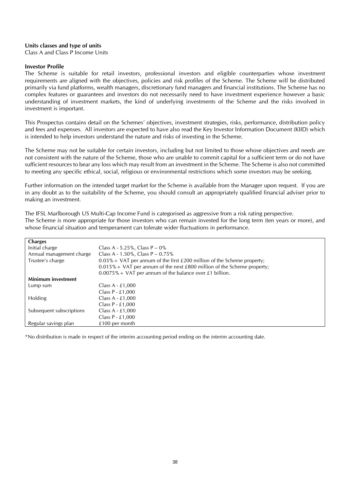#### **Units classes and type of units**

Class A and Class P Income Units

#### **Investor Profile**

The Scheme is suitable for retail investors, professional investors and eligible counterparties whose investment requirements are aligned with the objectives, policies and risk profiles of the Scheme. The Scheme will be distributed primarily via fund platforms, wealth managers, discretionary fund managers and financial institutions. The Scheme has no complex features or guarantees and investors do not necessarily need to have investment experience however a basic understanding of investment markets, the kind of underlying investments of the Scheme and the risks involved in investment is important.

This Prospectus contains detail on the Schemes' objectives, investment strategies, risks, performance, distribution policy and fees and expenses. All investors are expected to have also read the Key Investor Information Document (KIID) which is intended to help investors understand the nature and risks of investing in the Scheme.

The Scheme may not be suitable for certain investors, including but not limited to those whose objectives and needs are not consistent with the nature of the Scheme, those who are unable to commit capital for a sufficient term or do not have sufficient resources to bear any loss which may result from an investment in the Scheme. The Scheme is also not committed to meeting any specific ethical, social, religious or environmental restrictions which some investors may be seeking.

Further information on the intended target market for the Scheme is available from the Manager upon request. If you are in any doubt as to the suitability of the Scheme, you should consult an appropriately qualified financial adviser prior to making an investment.

The IFSL Marlborough US Multi-Cap Income Fund is categorised as aggressive from a risk rating perspective. The Scheme is more appropriate for those investors who can remain invested for the long term (ten years or more), and whose financial situation and temperament can tolerate wider fluctuations in performance.

| <b>Charges</b>            |                                                                            |
|---------------------------|----------------------------------------------------------------------------|
| Initial charge            | Class A - 5.25%, Class $P - 0\%$                                           |
| Annual management charge  | Class A - 1.50%, Class P – $0.75\%$                                        |
| Trustee's charge          | $0.03\%$ + VAT per annum of the first £200 million of the Scheme property; |
|                           | $0.015\%$ + VAT per annum of the next £800 million of the Scheme property; |
|                           | $0.0075\%$ + VAT per annum of the balance over £1 billion.                 |
| <b>Minimum investment</b> |                                                                            |
| Lump sum                  | Class $A - £1,000$                                                         |
|                           | Class $P - £1,000$                                                         |
| <b>Holding</b>            | Class $A - £1,000$                                                         |
|                           | Class $P - £1,000$                                                         |
| Subsequent subscriptions  | Class $A - £1,000$                                                         |
|                           | Class $P - £1,000$                                                         |
| Regular savings plan      | £100 per month                                                             |

\*No distribution is made in respect of the interim accounting period ending on the interim accounting date.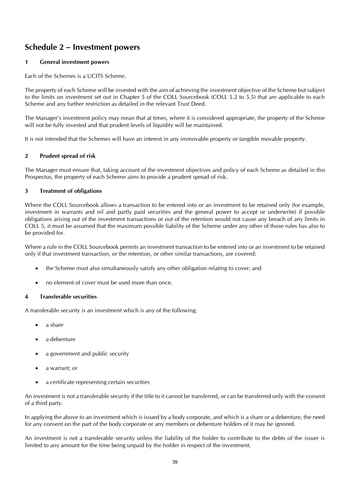### <span id="page-38-0"></span>**Schedule 2 – Investment powers**

#### **1 General investment powers**

Each of the Schemes is a UCITS Scheme.

The property of each Scheme will be invested with the aim of achieving the investment objective of the Scheme but subject to the limits on investment set out in Chapter 5 of the COLL Sourcebook (COLL 5.2 to 5.5) that are applicable to each Scheme and any further restriction as detailed in the relevant Trust Deed.

The Manager's investment policy may mean that at times, where it is considered appropriate, the property of the Scheme will not be fully invested and that prudent levels of liquidity will be maintained.

It is not intended that the Schemes will have an interest in any immovable property or tangible movable property.

#### **2 Prudent spread of risk**

The Manager must ensure that, taking account of the investment objectives and policy of each Scheme as detailed in this Prospectus, the property of each Scheme aims to provide a prudent spread of risk.

#### **3 Treatment of obligations**

Where the COLL Sourcebook allows a transaction to be entered into or an investment to be retained only (for example, investment in warrants and nil and partly paid securities and the general power to accept or underwrite) if possible obligations arising out of the investment transactions or out of the retention would not cause any breach of any limits in COLL 5, it must be assumed that the maximum possible liability of the Scheme under any other of those rules has also to be provided for.

Where a rule in the COLL Sourcebook permits an investment transaction to be entered into or an investment to be retained only if that investment transaction, or the retention, or other similar transactions, are covered:

- the Scheme must also simultaneously satisfy any other obligation relating to cover; and
- no element of cover must be used more than once.

#### **4 Transferable securities**

A transferable security is an investment which is any of the following:

- a share
- a debenture
- a government and public security
- a warrant; or
- a certificate representing certain securities

An investment is not a transferable security if the title to it cannot be transferred, or can be transferred only with the consent of a third party.

In applying the above to an investment which is issued by a body corporate, and which is a share or a debenture, the need for any consent on the part of the body corporate or any members or debenture holders of it may be ignored.

An investment is not a transferable security unless the liability of the holder to contribute to the debts of the issuer is limited to any amount for the time being unpaid by the holder in respect of the investment.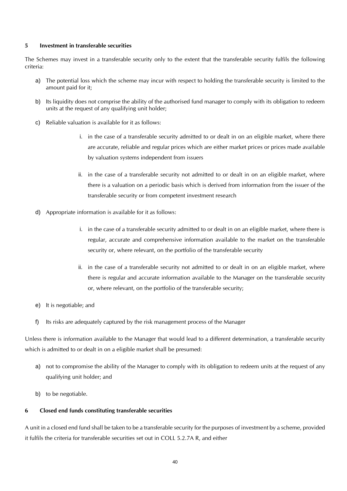#### **5 Investment in transferable securities**

The Schemes may invest in a transferable security only to the extent that the transferable security fulfils the following criteria:

- a) The potential loss which the scheme may incur with respect to holding the transferable security is limited to the amount paid for it;
- b) Its liquidity does not comprise the ability of the authorised fund manager to comply with its obligation to redeem units at the request of any qualifying unit holder;
- c) Reliable valuation is available for it as follows:
	- i. in the case of a transferable security admitted to or dealt in on an eligible market, where there are accurate, reliable and regular prices which are either market prices or prices made available by valuation systems independent from issuers
	- ii. in the case of a transferable security not admitted to or dealt in on an eligible market, where there is a valuation on a periodic basis which is derived from information from the issuer of the transferable security or from competent investment research
- d) Appropriate information is available for it as follows:
	- i. in the case of a transferable security admitted to or dealt in on an eligible market, where there is regular, accurate and comprehensive information available to the market on the transferable security or, where relevant, on the portfolio of the transferable security
	- ii. in the case of a transferable security not admitted to or dealt in on an eligible market, where there is regular and accurate information available to the Manager on the transferable security or, where relevant, on the portfolio of the transferable security;
- e) It is negotiable; and
- f) Its risks are adequately captured by the risk management process of the Manager

Unless there is information available to the Manager that would lead to a different determination, a transferable security which is admitted to or dealt in on a eligible market shall be presumed:

- a) not to compromise the ability of the Manager to comply with its obligation to redeem units at the request of any qualifying unit holder; and
- b) to be negotiable.

#### **6 Closed end funds constituting transferable securities**

A unit in a closed end fund shall be taken to be a transferable security for the purposes of investment by a scheme, provided it fulfils the criteria for transferable securities set out in COLL 5.2.7A R, and either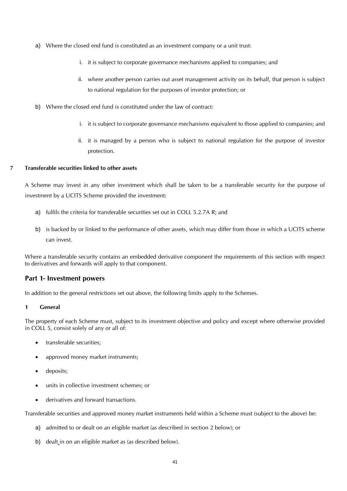- a) Where the closed end fund is constituted as an investment company or a unit trust:
	- i. it is subject to corporate governance mechanisms applied to companies; and
	- ii. where another person carries out asset management activity on its behalf, that person is subject to national regulation for the purposes of investor protection; or
- b) Where the closed end fund is constituted under the law of contract:
	- i. it is subject to corporate governance mechanisms equivalent to those applied to companies; and
	- ii. it is managed by a person who is subject to national regulation for the purpose of investor protection.

#### **7 Transferable securities linked to other assets**

A Scheme may invest in any other investment which shall be taken to be a transferable security for the purpose of investment by a UCITS Scheme provided the investment:

- a) fulfils the criteria for transferable securities set out in COLL 5.2.7A R; and
- b) is backed by or linked to the performance of other assets, which may differ from those in which a UCITS scheme can invest.

Where a transferable security contains an embedded derivative component the requirements of this section with respect to derivatives and forwards will apply to that component.

#### **Part 1- Investment powers**

In addition to the general restrictions set out above, the following limits apply to the Schemes.

#### **1 General**

The property of each Scheme must, subject to its investment objective and policy and except where otherwise provided in COLL 5, consist solely of any or all of:

- transferable securities:
- approved money market instruments;
- deposits:
- units in collective investment schemes; or
- derivatives and forward transactions.

Transferable securities and approved money market instruments held within a Scheme must (subject to the above) be:

- a) admitted to or dealt on an eligible market (as described in section 2 below); or
- b) dealt in on an eligible market as (as described below).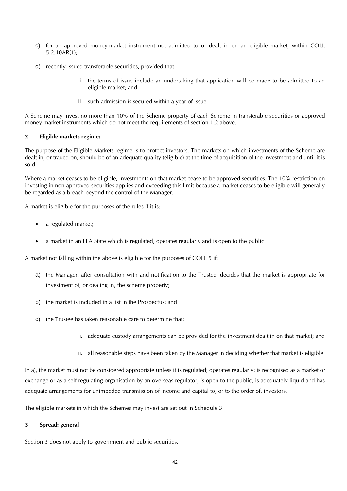- c) for an approved money-market instrument not admitted to or dealt in on an eligible market, within COLL 5.2.10AR(1);
- d) recently issued transferable securities, provided that:
	- i. the terms of issue include an undertaking that application will be made to be admitted to an eligible market; and
	- ii. such admission is secured within a year of issue

A Scheme may invest no more than 10% of the Scheme property of each Scheme in transferable securities or approved money market instruments which do not meet the requirements of section 1.2 above.

#### **2 Eligible markets regime:**

The purpose of the Eligible Markets regime is to protect investors. The markets on which investments of the Scheme are dealt in, or traded on, should be of an adequate quality (eligible) at the time of acquisition of the investment and until it is sold.

Where a market ceases to be eligible, investments on that market cease to be approved securities. The 10% restriction on investing in non-approved securities applies and exceeding this limit because a market ceases to be eligible will generally be regarded as a breach beyond the control of the Manager.

A market is eligible for the purposes of the rules if it is:

- a regulated market;
- a market in an EEA State which is regulated, operates regularly and is open to the public.

A market not falling within the above is eligible for the purposes of COLL 5 if:

- a) the Manager, after consultation with and notification to the Trustee, decides that the market is appropriate for investment of, or dealing in, the scheme property;
- b) the market is included in a list in the Prospectus; and
- c) the Trustee has taken reasonable care to determine that:
	- i. adequate custody arrangements can be provided for the investment dealt in on that market; and
	- ii. all reasonable steps have been taken by the Manager in deciding whether that market is eligible.

In a), the market must not be considered appropriate unless it is regulated; operates regularly; is recognised as a market or exchange or as a self-regulating organisation by an overseas regulator; is open to the public, is adequately liquid and has adequate arrangements for unimpeded transmission of income and capital to, or to the order of, investors.

The eligible markets in which the Schemes may invest are set out in Schedule 3.

#### **3 Spread: general**

Section 3 does not apply to government and public securities.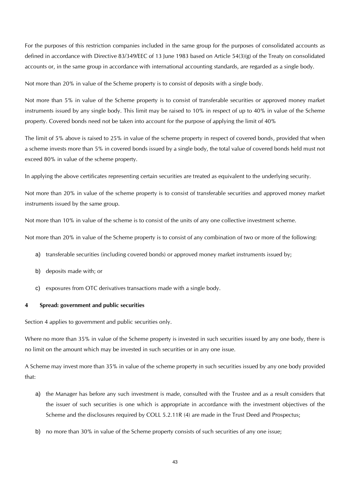For the purposes of this restriction companies included in the same group for the purposes of consolidated accounts as defined in accordance with Directive 83/349/EEC of 13 June 1983 based on Article 54(3)(g) of the Treaty on consolidated accounts or, in the same group in accordance with international accounting standards, are regarded as a single body.

Not more than 20% in value of the Scheme property is to consist of deposits with a single body.

Not more than 5% in value of the Scheme property is to consist of transferable securities or approved money market instruments issued by any single body. This limit may be raised to 10% in respect of up to 40% in value of the Scheme property. Covered bonds need not be taken into account for the purpose of applying the limit of 40%

The limit of 5% above is raised to 25% in value of the scheme property in respect of covered bonds, provided that when a scheme invests more than 5% in covered bonds issued by a single body, the total value of covered bonds held must not exceed 80% in value of the scheme property.

In applying the above certificates representing certain securities are treated as equivalent to the underlying security.

Not more than 20% in value of the scheme property is to consist of transferable securities and approved money market instruments issued by the same group.

Not more than 10% in value of the scheme is to consist of the units of any one collective investment scheme.

Not more than 20% in value of the Scheme property is to consist of any combination of two or more of the following:

- a) transferable securities (including covered bonds) or approved money market instruments issued by;
- b) deposits made with; or
- c) exposures from OTC derivatives transactions made with a single body.

#### **4 Spread: government and public securities**

Section 4 applies to government and public securities only.

Where no more than 35% in value of the Scheme property is invested in such securities issued by any one body, there is no limit on the amount which may be invested in such securities or in any one issue.

A Scheme may invest more than 35% in value of the scheme property in such securities issued by any one body provided that:

- a) the Manager has before any such investment is made, consulted with the Trustee and as a result considers that the issuer of such securities is one which is appropriate in accordance with the investment objectives of the Scheme and the disclosures required by COLL 5.2.11R (4) are made in the Trust Deed and Prospectus;
- b) no more than 30% in value of the Scheme property consists of such securities of any one issue;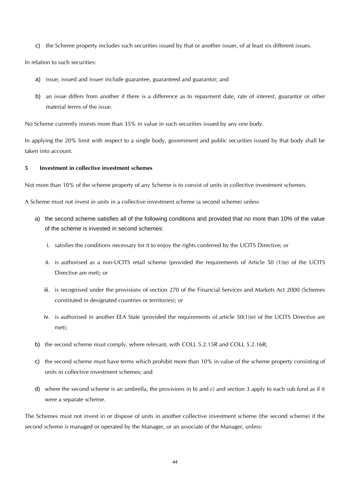c) the Scheme property includes such securities issued by that or another issuer, of at least six different issues.

In relation to such securities:

- a) issue, issued and issuer include guarantee, guaranteed and guarantor; and
- b) an issue differs from another if there is a difference as to repayment date, rate of interest, guarantor or other material terms of the issue.

No Scheme currently invests more than 35% in value in such securities issued by any one body.

In applying the 20% limit with respect to a single body, government and public securities issued by that body shall be taken into account.

#### **5 Investment in collective investment schemes**

Not more than 10% of the scheme property of any Scheme is to consist of units in collective investment schemes.

A Scheme must not invest in units in a collective investment scheme (a second scheme) unless

- a) the second scheme satisfies all of the following conditions and provided that no more than 10% of the value of the scheme is invested in second schemes:
	- i. satisfies the conditions necessary for it to enjoy the rights conferred by the UCITS Directive; or
	- ii. is authorised as a non-UCITS retail scheme (provided the requirements of Article 50 (1)(e) of the UCITS Directive are met); or
	- iii. is recognised under the provisions of section 270 of the Financial Services and Markets Act 2000 (Schemes constituted in designated countries or territories); or
	- iv. is authorised in another EEA State (provided the requirements of article 50(1)(e) of the UCITS Directive are met);
- b) the second scheme must comply, where relevant, with COLL 5.2.15R and COLL 5.2.16R;
- c) the second scheme must have terms which prohibit more than 10% in value of the scheme property consisting of units in collective investment schemes; and
- d) where the second scheme is an umbrella, the provisions in b) and c) and section 3 apply to each sub fund as if it were a separate scheme.

The Schemes must not invest in or dispose of units in another collective investment scheme (the second scheme) if the second scheme is managed or operated by the Manager, or an associate of the Manager, unless: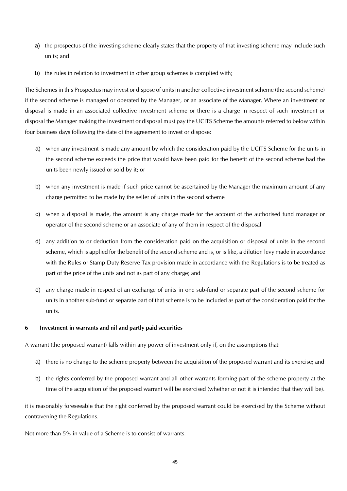- a) the prospectus of the investing scheme clearly states that the property of that investing scheme may include such units; and
- b) the rules in relation to investment in other group schemes is complied with;

The Schemes in this Prospectus may invest or dispose of units in another collective investment scheme (the second scheme) if the second scheme is managed or operated by the Manager, or an associate of the Manager. Where an investment or disposal is made in an associated collective investment scheme or there is a charge in respect of such investment or disposal the Manager making the investment or disposal must pay the UCITS Scheme the amounts referred to below within four business days following the date of the agreement to invest or dispose:

- a) when any investment is made any amount by which the consideration paid by the UCITS Scheme for the units in the second scheme exceeds the price that would have been paid for the benefit of the second scheme had the units been newly issued or sold by it; or
- b) when any investment is made if such price cannot be ascertained by the Manager the maximum amount of any charge permitted to be made by the seller of units in the second scheme
- c) when a disposal is made, the amount is any charge made for the account of the authorised fund manager or operator of the second scheme or an associate of any of them in respect of the disposal
- d) any addition to or deduction from the consideration paid on the acquisition or disposal of units in the second scheme, which is applied for the benefit of the second scheme and is, or is like, a dilution levy made in accordance with the Rules or Stamp Duty Reserve Tax provision made in accordance with the Regulations is to be treated as part of the price of the units and not as part of any charge; and
- e) any charge made in respect of an exchange of units in one sub-fund or separate part of the second scheme for units in another sub-fund or separate part of that scheme is to be included as part of the consideration paid for the units.

#### **6 Investment in warrants and nil and partly paid securities**

A warrant (the proposed warrant) falls within any power of investment only if, on the assumptions that:

- a) there is no change to the scheme property between the acquisition of the proposed warrant and its exercise; and
- b) the rights conferred by the proposed warrant and all other warrants forming part of the scheme property at the time of the acquisition of the proposed warrant will be exercised (whether or not it is intended that they will be).

it is reasonably foreseeable that the right conferred by the proposed warrant could be exercised by the Scheme without contravening the Regulations.

Not more than 5% in value of a Scheme is to consist of warrants.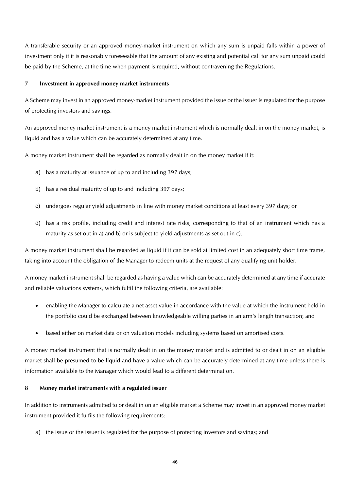A transferable security or an approved money-market instrument on which any sum is unpaid falls within a power of investment only if it is reasonably foreseeable that the amount of any existing and potential call for any sum unpaid could be paid by the Scheme, at the time when payment is required, without contravening the Regulations.

#### **7 Investment in approved money market instruments**

A Scheme may invest in an approved money-market instrument provided the issue or the issuer is regulated for the purpose of protecting investors and savings.

An approved money market instrument is a money market instrument which is normally dealt in on the money market, is liquid and has a value which can be accurately determined at any time.

A money market instrument shall be regarded as normally dealt in on the money market if it:

- a) has a maturity at issuance of up to and including 397 days;
- b) has a residual maturity of up to and including 397 days;
- c) undergoes regular yield adjustments in line with money market conditions at least every 397 days; or
- d) has a risk profile, including credit and interest rate risks, corresponding to that of an instrument which has a maturity as set out in a) and b) or is subject to yield adjustments as set out in c).

A money market instrument shall be regarded as liquid if it can be sold at limited cost in an adequately short time frame, taking into account the obligation of the Manager to redeem units at the request of any qualifying unit holder.

A money market instrument shall be regarded as having a value which can be accurately determined at any time if accurate and reliable valuations systems, which fulfil the following criteria, are available:

- enabling the Manager to calculate a net asset value in accordance with the value at which the instrument held in the portfolio could be exchanged between knowledgeable willing parties in an arm's length transaction; and
- based either on market data or on valuation models including systems based on amortised costs.

A money market instrument that is normally dealt in on the money market and is admitted to or dealt in on an eligible market shall be presumed to be liquid and have a value which can be accurately determined at any time unless there is information available to the Manager which would lead to a different determination.

#### **8 Money market instruments with a regulated issuer**

In addition to instruments admitted to or dealt in on an eligible market a Scheme may invest in an approved money market instrument provided it fulfils the following requirements:

a) the issue or the issuer is regulated for the purpose of protecting investors and savings; and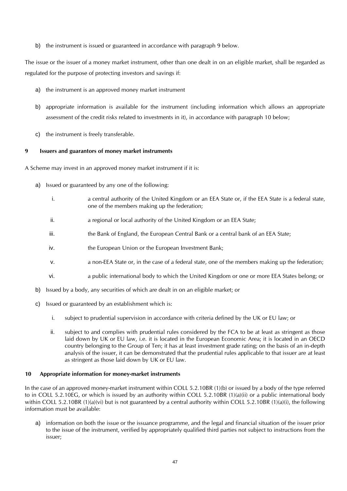b) the instrument is issued or guaranteed in accordance with paragraph 9 below.

The issue or the issuer of a money market instrument, other than one dealt in on an eligible market, shall be regarded as regulated for the purpose of protecting investors and savings if:

- a) the instrument is an approved money market instrument
- b) appropriate information is available for the instrument (including information which allows an appropriate assessment of the credit risks related to investments in it), in accordance with paragraph 10 below;
- c) the instrument is freely transferable.

#### **9 Issuers and guarantors of money market instruments**

A Scheme may invest in an approved money market instrument if it is:

- a) Issued or guaranteed by any one of the following:
	- i. a central authority of the United Kingdom or an EEA State or, if the EEA State is a federal state, one of the members making up the federation;
	- ii. a regional or local authority of the United Kingdom or an EEA State;
	- iii. the Bank of England, the European Central Bank or a central bank of an EEA State;
	- iv. the European Union or the European Investment Bank;
	- v. a non-EEA State or, in the case of a federal state, one of the members making up the federation;
	- vi. a public international body to which the United Kingdom or one or more EEA States belong; or
- b) Issued by a body, any securities of which are dealt in on an eligible market; or
- c) Issued or guaranteed by an establishment which is:
	- i. subject to prudential supervision in accordance with criteria defined by the UK or EU law; or
	- ii. subject to and complies with prudential rules considered by the FCA to be at least as stringent as those laid down by UK or EU law, i.e. it is located in the European Economic Area; it is located in an OECD country belonging to the Group of Ten; it has at least investment grade rating; on the basis of an in-depth analysis of the issuer, it can be demonstrated that the prudential rules applicable to that issuer are at least as stringent as those laid down by UK or EU law.

#### **10 Appropriate information for money-market instruments**

In the case of an approved money-market instrument within COLL 5.2.10BR (1)(b) or issued by a body of the type referred to in COLL 5.2.10EG, or which is issued by an authority within COLL 5.2.10BR (1)(a)(ii) or a public international body within COLL 5.2.10BR (1)(a)(vi) but is not guaranteed by a central authority within COLL 5.2.10BR (1)(a)(i), the following information must be available:

a) information on both the issue or the issuance programme, and the legal and financial situation of the issuer prior to the issue of the instrument, verified by appropriately qualified third parties not subject to instructions from the issuer;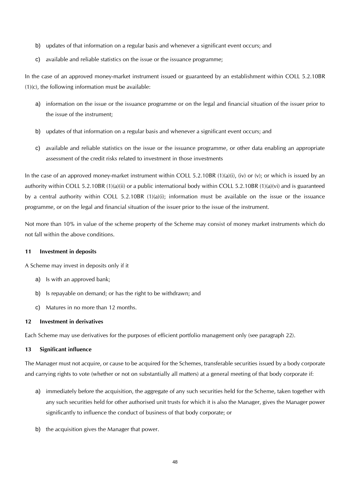- b) updates of that information on a regular basis and whenever a significant event occurs; and
- c) available and reliable statistics on the issue or the issuance programme;

In the case of an approved money-market instrument issued or guaranteed by an establishment within COLL 5.2.10BR (1)(c), the following information must be available:

- a) information on the issue or the issuance programme or on the legal and financial situation of the issuer prior to the issue of the instrument;
- b) updates of that information on a regular basis and whenever a significant event occurs; and
- c) available and reliable statistics on the issue or the issuance programme, or other data enabling an appropriate assessment of the credit risks related to investment in those investments

In the case of an approved money-market instrument within COLL 5.2.10BR  $(1)(a)(i)$ ,  $(iv)$  or  $(v)$ ; or which is issued by an authority within COLL 5.2.10BR (1)(a)(ii) or a public international body within COLL 5.2.10BR (1)(a)(vi) and is guaranteed by a central authority within COLL 5.2.10BR (1)(a)(i); information must be available on the issue or the issuance programme, or on the legal and financial situation of the issuer prior to the issue of the instrument.

Not more than 10% in value of the scheme property of the Scheme may consist of money market instruments which do not fall within the above conditions.

#### **11 Investment in deposits**

A Scheme may invest in deposits only if it

- a) Is with an approved bank;
- b) Is repayable on demand; or has the right to be withdrawn; and
- c) Matures in no more than 12 months.

#### **12 Investment in derivatives**

Each Scheme may use derivatives for the purposes of efficient portfolio management only (see paragraph 22).

#### **13 Significant influence**

The Manager must not acquire, or cause to be acquired for the Schemes, transferable securities issued by a body corporate and carrying rights to vote (whether or not on substantially all matters) at a general meeting of that body corporate if:

- a) immediately before the acquisition, the aggregate of any such securities held for the Scheme, taken together with any such securities held for other authorised unit trusts for which it is also the Manager, gives the Manager power significantly to influence the conduct of business of that body corporate; or
- b) the acquisition gives the Manager that power.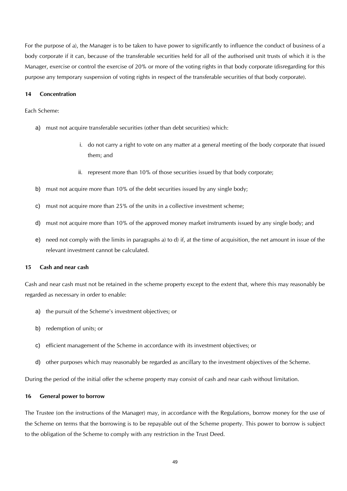For the purpose of a), the Manager is to be taken to have power to significantly to influence the conduct of business of a body corporate if it can, because of the transferable securities held for all of the authorised unit trusts of which it is the Manager, exercise or control the exercise of 20% or more of the voting rights in that body corporate (disregarding for this purpose any temporary suspension of voting rights in respect of the transferable securities of that body corporate).

#### **14 Concentration**

#### Each Scheme:

- a) must not acquire transferable securities (other than debt securities) which:
	- i. do not carry a right to vote on any matter at a general meeting of the body corporate that issued them; and
	- ii. represent more than 10% of those securities issued by that body corporate;
- b) must not acquire more than 10% of the debt securities issued by any single body;
- c) must not acquire more than 25% of the units in a collective investment scheme;
- d) must not acquire more than 10% of the approved money market instruments issued by any single body; and
- e) need not comply with the limits in paragraphs a) to d) if, at the time of acquisition, the net amount in issue of the relevant investment cannot be calculated.

#### **15 Cash and near cash**

Cash and near cash must not be retained in the scheme property except to the extent that, where this may reasonably be regarded as necessary in order to enable:

- a) the pursuit of the Scheme's investment objectives; or
- b) redemption of units; or
- c) efficient management of the Scheme in accordance with its investment objectives; or
- d) other purposes which may reasonably be regarded as ancillary to the investment objectives of the Scheme.

During the period of the initial offer the scheme property may consist of cash and near cash without limitation.

#### **16 General power to borrow**

The Trustee (on the instructions of the Manager) may, in accordance with the Regulations, borrow money for the use of the Scheme on terms that the borrowing is to be repayable out of the Scheme property. This power to borrow is subject to the obligation of the Scheme to comply with any restriction in the Trust Deed.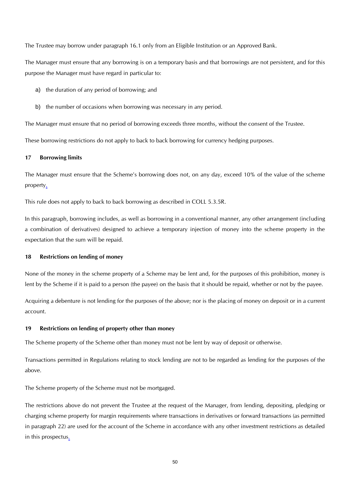The Trustee may borrow under paragraph 16.1 only from an Eligible Institution or an Approved Bank.

The Manager must ensure that any borrowing is on a temporary basis and that borrowings are not persistent, and for this purpose the Manager must have regard in particular to:

- a) the duration of any period of borrowing; and
- b) the number of occasions when borrowing was necessary in any period.

The Manager must ensure that no period of borrowing exceeds three months, without the consent of the Trustee.

These borrowing restrictions do not apply to back to back borrowing for currency hedging purposes.

#### **17 Borrowing limits**

The Manager must ensure that the Scheme's borrowing does not, on any day, exceed 10% of the value of the scheme property.

This rule does not apply to back to back borrowing as described in COLL 5.3.5R.

In this paragraph, borrowing includes, as well as borrowing in a conventional manner, any other arrangement (including a combination of derivatives) designed to achieve a temporary injection of money into the scheme property in the expectation that the sum will be repaid.

#### **18 Restrictions on lending of money**

None of the money in the scheme property of a Scheme may be lent and, for the purposes of this prohibition, money is lent by the Scheme if it is paid to a person (the payee) on the basis that it should be repaid, whether or not by the payee.

Acquiring a debenture is not lending for the purposes of the above; nor is the placing of money on deposit or in a current account.

#### **19 Restrictions on lending of property other than money**

The Scheme property of the Scheme other than money must not be lent by way of deposit or otherwise.

Transactions permitted in Regulations relating to stock lending are not to be regarded as lending for the purposes of the above.

The Scheme property of the Scheme must not be mortgaged.

The restrictions above do not prevent the Trustee at the request of the Manager, from lending, depositing, pledging or charging scheme property for margin requirements where transactions in derivatives or forward transactions (as permitted in paragraph 22) are used for the account of the Scheme in accordance with any other investment restrictions as detailed in this prospectus.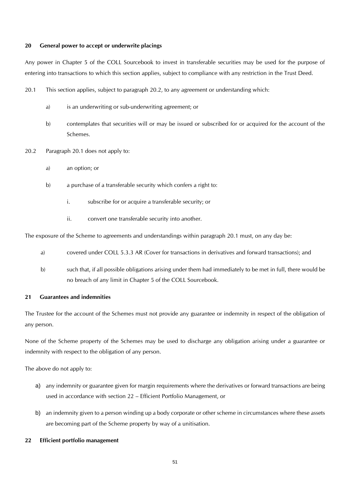#### **20 General power to accept or underwrite placings**

Any power in Chapter 5 of the COLL Sourcebook to invest in transferable securities may be used for the purpose of entering into transactions to which this section applies, subject to compliance with any restriction in the Trust Deed.

- 20.1 This section applies, subject to paragraph 20.2, to any agreement or understanding which:
	- a) is an underwriting or sub-underwriting agreement; or
	- b) contemplates that securities will or may be issued or subscribed for or acquired for the account of the Schemes.
- 20.2 Paragraph 20.1 does not apply to:
	- a) an option; or
	- b) a purchase of a transferable security which confers a right to:
		- i. subscribe for or acquire a transferable security; or
		- ii. convert one transferable security into another.

The exposure of the Scheme to agreements and understandings within paragraph 20.1 must, on any day be:

- a) covered under COLL 5.3.3 AR (Cover for transactions in derivatives and forward transactions); and
- b) such that, if all possible obligations arising under them had immediately to be met in full, there would be no breach of any limit in Chapter 5 of the COLL Sourcebook.

#### **21 Guarantees and indemnities**

The Trustee for the account of the Schemes must not provide any guarantee or indemnity in respect of the obligation of any person.

None of the Scheme property of the Schemes may be used to discharge any obligation arising under a guarantee or indemnity with respect to the obligation of any person.

The above do not apply to:

- a) any indemnity or guarantee given for margin requirements where the derivatives or forward transactions are being used in accordance with section 22 – Efficient Portfolio Management, or
- b) an indemnity given to a person winding up a body corporate or other scheme in circumstances where these assets are becoming part of the Scheme property by way of a unitisation.

#### **22 Efficient portfolio management**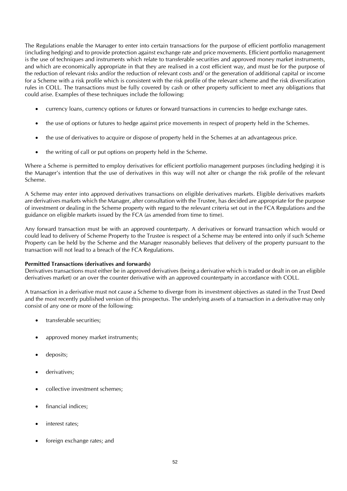The Regulations enable the Manager to enter into certain transactions for the purpose of efficient portfolio management (including hedging) and to provide protection against exchange rate and price movements. Efficient portfolio management is the use of techniques and instruments which relate to transferable securities and approved money market instruments, and which are economically appropriate in that they are realised in a cost efficient way, and must be for the purpose of the reduction of relevant risks and/or the reduction of relevant costs and/ or the generation of additional capital or income for a Scheme with a risk profile which is consistent with the risk profile of the relevant scheme and the risk diversification rules in COLL. The transactions must be fully covered by cash or other property sufficient to meet any obligations that could arise. Examples of these techniques include the following:

- currency loans, currency options or futures or forward transactions in currencies to hedge exchange rates.
- the use of options or futures to hedge against price movements in respect of property held in the Schemes.
- the use of derivatives to acquire or dispose of property held in the Schemes at an advantageous price.
- the writing of call or put options on property held in the Scheme.

Where a Scheme is permitted to employ derivatives for efficient portfolio management purposes (including hedging) it is the Manager's intention that the use of derivatives in this way will not alter or change the risk profile of the relevant Scheme.

A Scheme may enter into approved derivatives transactions on eligible derivatives markets. Eligible derivatives markets are derivatives markets which the Manager, after consultation with the Trustee, has decided are appropriate for the purpose of investment or dealing in the Scheme property with regard to the relevant criteria set out in the FCA Regulations and the guidance on eligible markets issued by the FCA (as amended from time to time).

Any forward transaction must be with an approved counterparty. A derivatives or forward transaction which would or could lead to delivery of Scheme Property to the Trustee is respect of a Scheme may be entered into only if such Scheme Property can be held by the Scheme and the Manager reasonably believes that delivery of the property pursuant to the transaction will not lead to a breach of the FCA Regulations.

#### **Permitted Transactions (derivatives and forwards)**

Derivatives transactions must either be in approved derivatives (being a derivative which is traded or dealt in on an eligible derivatives market) or an over the counter derivative with an approved counterparty in accordance with COLL.

A transaction in a derivative must not cause a Scheme to diverge from its investment objectives as stated in the Trust Deed and the most recently published version of this prospectus. The underlying assets of a transaction in a derivative may only consist of any one or more of the following:

- transferable securities;
- approved money market instruments;
- deposits;
- derivatives;
- collective investment schemes;
- financial indices;
- interest rates;
- foreign exchange rates; and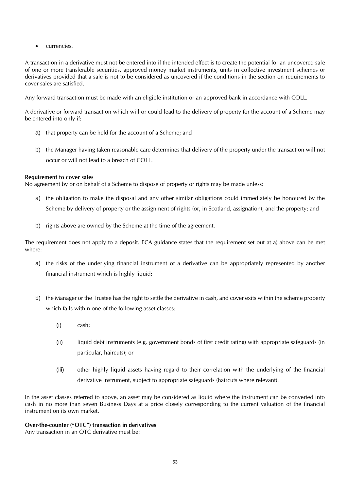currencies.

A transaction in a derivative must not be entered into if the intended effect is to create the potential for an uncovered sale of one or more transferable securities, approved money market instruments, units in collective investment schemes or derivatives provided that a sale is not to be considered as uncovered if the conditions in the section on requirements to cover sales are satisfied.

Any forward transaction must be made with an eligible institution or an approved bank in accordance with COLL.

A derivative or forward transaction which will or could lead to the delivery of property for the account of a Scheme may be entered into only if:

- a) that property can be held for the account of a Scheme; and
- b) the Manager having taken reasonable care determines that delivery of the property under the transaction will not occur or will not lead to a breach of COLL.

#### **Requirement to cover sales**

No agreement by or on behalf of a Scheme to dispose of property or rights may be made unless:

- a) the obligation to make the disposal and any other similar obligations could immediately be honoured by the Scheme by delivery of property or the assignment of rights (or, in Scotland, assignation), and the property; and
- b) rights above are owned by the Scheme at the time of the agreement.

The requirement does not apply to a deposit. FCA guidance states that the requirement set out at a) above can be met where:

- a) the risks of the underlying financial instrument of a derivative can be appropriately represented by another financial instrument which is highly liquid;
- b) the Manager or the Trustee has the right to settle the derivative in cash, and cover exits within the scheme property which falls within one of the following asset classes:
	- (i) cash;
	- (ii) liquid debt instruments (e.g. government bonds of first credit rating) with appropriate safeguards (in particular, haircuts); or
	- (iii) other highly liquid assets having regard to their correlation with the underlying of the financial derivative instrument, subject to appropriate safeguards (haircuts where relevant).

In the asset classes referred to above, an asset may be considered as liquid where the instrument can be converted into cash in no more than seven Business Days at a price closely corresponding to the current valuation of the financial instrument on its own market.

#### **Over-the-counter ("OTC") transaction in derivatives**

Any transaction in an OTC derivative must be: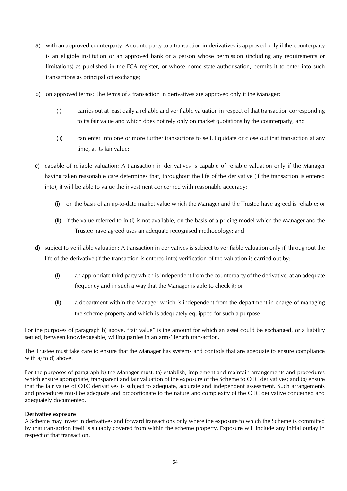- a) with an approved counterparty: A counterparty to a transaction in derivatives is approved only if the counterparty is an eligible institution or an approved bank or a person whose permission (including any requirements or limitations) as published in the FCA register, or whose home state authorisation, permits it to enter into such transactions as principal off exchange;
- b) on approved terms: The terms of a transaction in derivatives are approved only if the Manager:
	- (i) carries out at least daily a reliable and verifiable valuation in respect of that transaction corresponding to its fair value and which does not rely only on market quotations by the counterparty; and
	- (ii) can enter into one or more further transactions to sell, liquidate or close out that transaction at any time, at its fair value;
- c) capable of reliable valuation: A transaction in derivatives is capable of reliable valuation only if the Manager having taken reasonable care determines that, throughout the life of the derivative (if the transaction is entered into), it will be able to value the investment concerned with reasonable accuracy:
	- (i) on the basis of an up-to-date market value which the Manager and the Trustee have agreed is reliable; or
	- (ii) if the value referred to in (i) is not available, on the basis of a pricing model which the Manager and the Trustee have agreed uses an adequate recognised methodology; and
- d) subject to verifiable valuation: A transaction in derivatives is subject to verifiable valuation only if, throughout the life of the derivative (if the transaction is entered into) verification of the valuation is carried out by:
	- (i) an appropriate third party which is independent from the counterparty of the derivative, at an adequate frequency and in such a way that the Manager is able to check it; or
	- (ii) a department within the Manager which is independent from the department in charge of managing the scheme property and which is adequately equipped for such a purpose.

For the purposes of paragraph b) above, "fair value" is the amount for which an asset could be exchanged, or a liability settled, between knowledgeable, willing parties in an arms' length transaction.

The Trustee must take care to ensure that the Manager has systems and controls that are adequate to ensure compliance with a) to d) above.

For the purposes of paragraph b) the Manager must: (a) establish, implement and maintain arrangements and procedures which ensure appropriate, transparent and fair valuation of the exposure of the Scheme to OTC derivatives; and (b) ensure that the fair value of OTC derivatives is subject to adequate, accurate and independent assessment. Such arrangements and procedures must be adequate and proportionate to the nature and complexity of the OTC derivative concerned and adequately documented.

#### **Derivative exposure**

A Scheme may invest in derivatives and forward transactions only where the exposure to which the Scheme is committed by that transaction itself is suitably covered from within the scheme property. Exposure will include any initial outlay in respect of that transaction.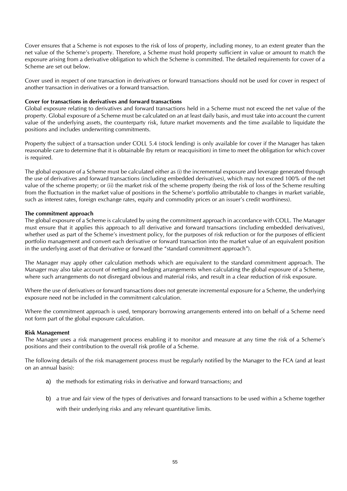Cover ensures that a Scheme is not exposes to the risk of loss of property, including money, to an extent greater than the net value of the Scheme's property. Therefore, a Scheme must hold property sufficient in value or amount to match the exposure arising from a derivative obligation to which the Scheme is committed. The detailed requirements for cover of a Scheme are set out below.

Cover used in respect of one transaction in derivatives or forward transactions should not be used for cover in respect of another transaction in derivatives or a forward transaction.

#### **Cover for transactions in derivatives and forward transactions**

Global exposure relating to derivatives and forward transactions held in a Scheme must not exceed the net value of the property. Global exposure of a Scheme must be calculated on an at least daily basis, and must take into account the current value of the underlying assets, the counterparty risk, future market movements and the time available to liquidate the positions and includes underwriting commitments.

Property the subject of a transaction under COLL 5.4 (stock lending) is only available for cover if the Manager has taken reasonable care to determine that it is obtainable (by return or reacquisition) in time to meet the obligation for which cover is required.

The global exposure of a Scheme must be calculated either as (i) the incremental exposure and leverage generated through the use of derivatives and forward transactions (including embedded derivatives), which may not exceed 100% of the net value of the scheme property; or (ii) the market risk of the scheme property (being the risk of loss of the Scheme resulting from the fluctuation in the market value of positions in the Scheme's portfolio attributable to changes in market variable, such as interest rates, foreign exchange rates, equity and commodity prices or an issuer's credit worthiness).

#### **The commitment approach**

The global exposure of a Scheme is calculated by using the commitment approach in accordance with COLL. The Manager must ensure that it applies this approach to all derivative and forward transactions (including embedded derivatives), whether used as part of the Scheme's investment policy, for the purposes of risk reduction or for the purposes of efficient portfolio management and convert each derivative or forward transaction into the market value of an equivalent position in the underlying asset of that derivative or forward (the "standard commitment approach").

The Manager may apply other calculation methods which are equivalent to the standard commitment approach. The Manager may also take account of netting and hedging arrangements when calculating the global exposure of a Scheme, where such arrangements do not disregard obvious and material risks, and result in a clear reduction of risk exposure.

Where the use of derivatives or forward transactions does not generate incremental exposure for a Scheme, the underlying exposure need not be included in the commitment calculation.

Where the commitment approach is used, temporary borrowing arrangements entered into on behalf of a Scheme need not form part of the global exposure calculation.

#### **Risk Management**

The Manager uses a risk management process enabling it to monitor and measure at any time the risk of a Scheme's positions and their contribution to the overall risk profile of a Scheme.

The following details of the risk management process must be regularly notified by the Manager to the FCA (and at least on an annual basis):

- a) the methods for estimating risks in derivative and forward transactions; and
- b) a true and fair view of the types of derivatives and forward transactions to be used within a Scheme together with their underlying risks and any relevant quantitative limits.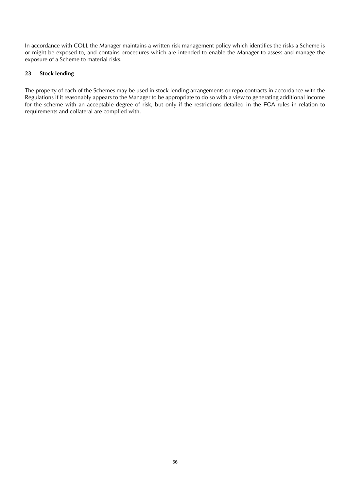In accordance with COLL the Manager maintains a written risk management policy which identifies the risks a Scheme is or might be exposed to, and contains procedures which are intended to enable the Manager to assess and manage the exposure of a Scheme to material risks.

#### **23 Stock lending**

The property of each of the Schemes may be used in stock lending arrangements or repo contracts in accordance with the Regulations if it reasonably appears to the Manager to be appropriate to do so with a view to generating additional income for the scheme with an acceptable degree of risk, but only if the restrictions detailed in the FCA rules in relation to requirements and collateral are complied with.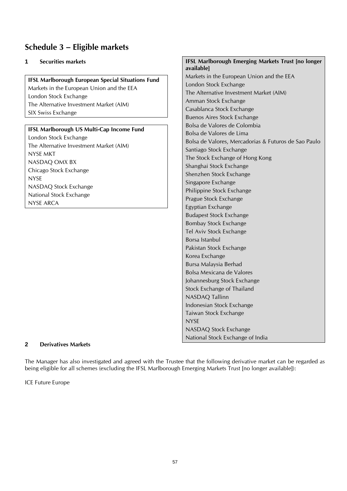### <span id="page-56-0"></span>**Schedule 3 – Eligible markets**

#### **1 Securities markets**

**IFSL Marlborough European Special Situations Fund** Markets in the European Union and the EEA London Stock Exchange The Alternative Investment Market (AIM) SIX Swiss Exchange

#### **IFSL Marlborough US Multi-Cap Income Fund**

London Stock Exchange The Alternative Investment Market (AIM) NYSE MKT NASDAQ OMX BX Chicago Stock Exchange NYSE NASDAQ Stock Exchange National Stock Exchange NYSE ARCA

# **IFSL Marlborough Emerging Markets Trust [no longer available]**

Markets in the European Union and the EEA London Stock Exchange The Alternative Investment Market (AIM) Amman Stock Exchange Casablanca Stock Exchange Buenos Aires Stock Exchange Bolsa de Valores de Colombia Bolsa de Valores de Lima Bolsa de Valores, Mercadorias & Futuros de Sao Paulo Santiago Stock Exchange The Stock Exchange of Hong Kong Shanghai Stock Exchange Shenzhen Stock Exchange Singapore Exchange Philippine Stock Exchange Prague Stock Exchange Egyptian Exchange Budapest Stock Exchange Bombay Stock Exchange Tel Aviv Stock Exchange Borsa Istanbul Pakistan Stock Exchange Korea Exchange Bursa Malaysia Berhad Bolsa Mexicana de Valores Johannesburg Stock Exchange Stock Exchange of Thailand NASDAQ Tallinn Indonesian Stock Exchange Taiwan Stock Exchange **NYSE** NASDAQ Stock Exchange National Stock Exchange of India

#### **2 Derivatives Markets**

The Manager has also investigated and agreed with the Trustee that the following derivative market can be regarded as being eligible for all schemes (excluding the IFSL Marlborough Emerging Markets Trust [no longer available]):

ICE Future Europe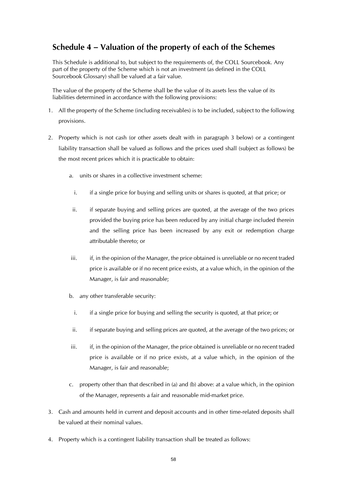### <span id="page-57-0"></span>**Schedule 4 – Valuation of the property of each of the Schemes**

This Schedule is additional to, but subject to the requirements of, the COLL Sourcebook. Any part of the property of the Scheme which is not an investment (as defined in the COLL Sourcebook Glossary) shall be valued at a fair value.

The value of the property of the Scheme shall be the value of its assets less the value of its liabilities determined in accordance with the following provisions:

- 1. All the property of the Scheme (including receivables) is to be included, subject to the following provisions.
- 2. Property which is not cash (or other assets dealt with in paragraph 3 below) or a contingent liability transaction shall be valued as follows and the prices used shall (subject as follows) be the most recent prices which it is practicable to obtain:
	- a. units or shares in a collective investment scheme:
		- i. if a single price for buying and selling units or shares is quoted, at that price; or
		- ii. if separate buying and selling prices are quoted, at the average of the two prices provided the buying price has been reduced by any initial charge included therein and the selling price has been increased by any exit or redemption charge attributable thereto; or
	- iii. iii. if, in the opinion of the Manager, the price obtained is unreliable or no recent traded price is available or if no recent price exists, at a value which, in the opinion of the Manager, is fair and reasonable;
	- b. any other transferable security:
		- i. if a single price for buying and selling the security is quoted, at that price; or
		- ii. if separate buying and selling prices are quoted, at the average of the two prices; or
	- iii. if, in the opinion of the Manager, the price obtained is unreliable or no recent traded price is available or if no price exists, at a value which, in the opinion of the Manager, is fair and reasonable;
	- c. property other than that described in (a) and (b) above: at a value which, in the opinion of the Manager, represents a fair and reasonable mid-market price.
- 3. Cash and amounts held in current and deposit accounts and in other time-related deposits shall be valued at their nominal values.
- 4. Property which is a contingent liability transaction shall be treated as follows: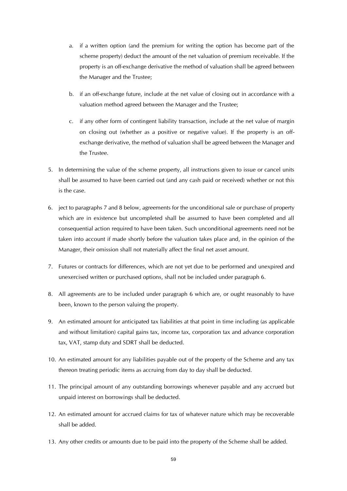- a. if a written option (and the premium for writing the option has become part of the scheme property) deduct the amount of the net valuation of premium receivable. If the property is an off-exchange derivative the method of valuation shall be agreed between the Manager and the Trustee;
- b. if an off-exchange future, include at the net value of closing out in accordance with a valuation method agreed between the Manager and the Trustee;
- c. if any other form of contingent liability transaction, include at the net value of margin on closing out (whether as a positive or negative value). If the property is an offexchange derivative, the method of valuation shall be agreed between the Manager and the Trustee.
- 5. In determining the value of the scheme property, all instructions given to issue or cancel units shall be assumed to have been carried out (and any cash paid or received) whether or not this is the case.
- 6. ject to paragraphs 7 and 8 below, agreements for the unconditional sale or purchase of property which are in existence but uncompleted shall be assumed to have been completed and all consequential action required to have been taken. Such unconditional agreements need not be taken into account if made shortly before the valuation takes place and, in the opinion of the Manager, their omission shall not materially affect the final net asset amount.
- 7. Futures or contracts for differences, which are not yet due to be performed and unexpired and unexercised written or purchased options, shall not be included under paragraph 6.
- 8. All agreements are to be included under paragraph 6 which are, or ought reasonably to have been, known to the person valuing the property.
- 9. An estimated amount for anticipated tax liabilities at that point in time including (as applicable and without limitation) capital gains tax, income tax, corporation tax and advance corporation tax, VAT, stamp duty and SDRT shall be deducted.
- 10. An estimated amount for any liabilities payable out of the property of the Scheme and any tax thereon treating periodic items as accruing from day to day shall be deducted.
- 11. The principal amount of any outstanding borrowings whenever payable and any accrued but unpaid interest on borrowings shall be deducted.
- 12. An estimated amount for accrued claims for tax of whatever nature which may be recoverable shall be added.
- 13. Any other credits or amounts due to be paid into the property of the Scheme shall be added.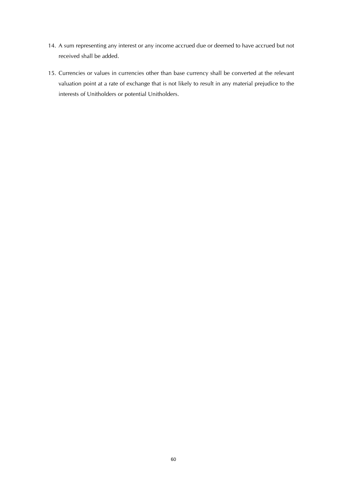- 14. A sum representing any interest or any income accrued due or deemed to have accrued but not received shall be added.
- 15. Currencies or values in currencies other than base currency shall be converted at the relevant valuation point at a rate of exchange that is not likely to result in any material prejudice to the interests of Unitholders or potential Unitholders.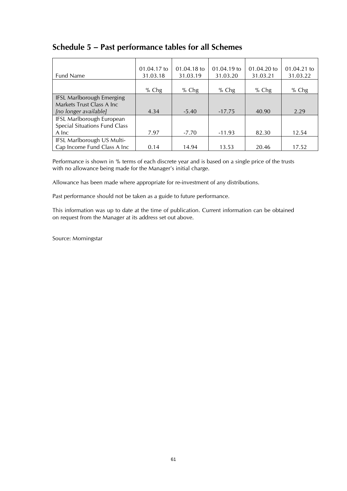### <span id="page-60-0"></span>**Schedule 5 – Past performance tables for all Schemes**

|                                  | 01.04.17 to | 01.04.18 to | 01.04.19 to | 01.04.20 to | 01.04.21 to |
|----------------------------------|-------------|-------------|-------------|-------------|-------------|
| <b>Fund Name</b>                 | 31.03.18    | 31.03.19    | 31.03.20    | 31.03.21    | 31.03.22    |
|                                  |             |             |             |             |             |
|                                  | $%$ Chg     | $%$ Chg     | $%$ Chg     | $%$ Chg     | % $Chg$     |
| <b>IFSL Marlborough Emerging</b> |             |             |             |             |             |
| Markets Trust Class A Inc        |             |             |             |             |             |
| [no longer available]            | 4.34        | $-5.40$     | $-17.75$    | 40.90       | 2.29        |
| IFSL Marlborough European        |             |             |             |             |             |
| Special Situations Fund Class    |             |             |             |             |             |
| A Inc                            | 7.97        | $-7.70$     | $-11.93$    | 82.30       | 12.54       |
| IFSL Marlborough US Multi-       |             |             |             |             |             |
| Cap Income Fund Class A Inc      | 0.14        | 14.94       | 13.53       | 20.46       | 17.52       |

Performance is shown in % terms of each discrete year and is based on a single price of the trusts with no allowance being made for the Manager's initial charge.

Allowance has been made where appropriate for re-investment of any distributions.

Past performance should not be taken as a guide to future performance.

This information was up to date at the time of publication. Current information can be obtained on request from the Manager at its address set out above.

Source: Morningstar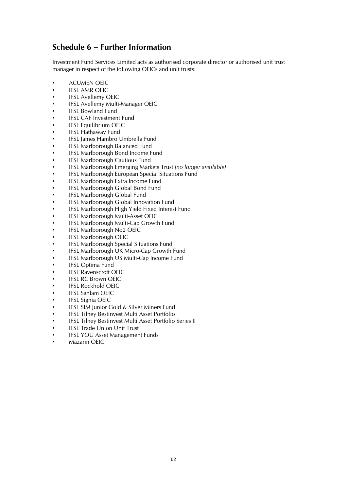### <span id="page-61-0"></span>**Schedule 6 – Further Information**

Investment Fund Services Limited acts as authorised corporate director or authorised unit trust manager in respect of the following OEICs and unit trusts:

- **ACUMEN OEIC**
- **IFSL AMR OEIC**
- IFSL Avellemy OEIC
- IFSL Avellemy Multi-Manager OEIC
- IFSL Bowland Fund
- **IFSL CAF Investment Fund**
- IFSL Equilibrium OEIC
- IFSL Hathaway Fund
- IFSL James Hambro Umbrella Fund
- IFSL Marlborough Balanced Fund
- IFSL Marlborough Bond Income Fund
- IFSL Marlborough Cautious Fund
- IFSL Marlborough Emerging Markets Trust *[no longer available]*
- IFSL Marlborough European Special Situations Fund
- IFSL Marlborough Extra Income Fund
- IFSL Marlborough Global Bond Fund
- IFSL Marlborough Global Fund
- IFSL Marlborough Global Innovation Fund
- IFSL Marlborough High Yield Fixed Interest Fund
- IFSL Marlborough Multi-Asset OEIC
- IFSL Marlborough Multi-Cap Growth Fund
- IFSL Marlborough No2 OEIC
- IFSL Marlborough OEIC
- IFSL Marlborough Special Situations Fund
- IFSL Marlborough UK Micro-Cap Growth Fund
- IFSL Marlborough US Multi-Cap Income Fund
- IFSL Optima Fund
- **IFSL Ravenscroft OEIC**
- **IFSL RC Brown OEIC**
- IFSL Rockhold OEIC
- IFSL Sanlam OEIC
- IFSL Signia OEIC
- IFSL SIM Junior Gold & Silver Miners Fund
- IFSL Tilney Bestinvest Multi Asset Portfolio
- IFSL Tilney Bestinvest Multi Asset Portfolio Series II
- IFSL Trade Union Unit Trust
- IFSL YOU Asset Management Funds
- Mazarin OEIC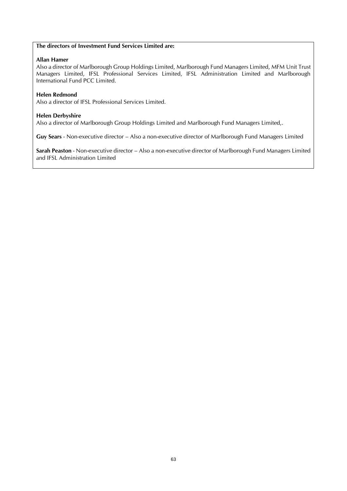#### **The directors of Investment Fund Services Limited are:**

#### **Allan Hamer**

Also a director of Marlborough Group Holdings Limited, Marlborough Fund Managers Limited, MFM Unit Trust Managers Limited, IFSL Professional Services Limited, IFSL Administration Limited and Marlborough International Fund PCC Limited.

#### **Helen Redmond**

Also a director of IFSL Professional Services Limited.

#### **Helen Derbyshire**

Also a director of Marlborough Group Holdings Limited and Marlborough Fund Managers Limited,.

**Guy Sears** - Non-executive director – Also a non-executive director of Marlborough Fund Managers Limited

**Sarah Peaston** - Non-executive director – Also a non-executive director of Marlborough Fund Managers Limited and IFSL Administration Limited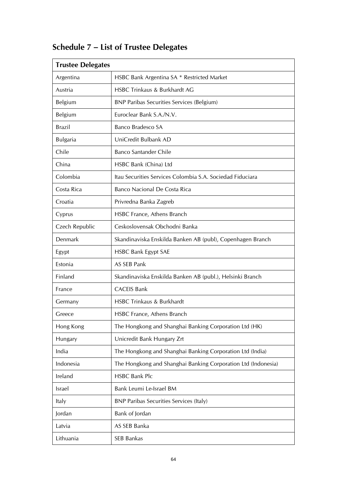| <b>Trustee Delegates</b> |                                                               |  |  |
|--------------------------|---------------------------------------------------------------|--|--|
| Argentina                | HSBC Bank Argentina SA * Restricted Market                    |  |  |
| Austria                  | HSBC Trinkaus & Burkhardt AG                                  |  |  |
| Belgium                  | <b>BNP Paribas Securities Services (Belgium)</b>              |  |  |
| Belgium                  | Euroclear Bank S.A./N.V.                                      |  |  |
| <b>Brazil</b>            | <b>Banco Bradesco SA</b>                                      |  |  |
| <b>Bulgaria</b>          | UniCredit Bulbank AD                                          |  |  |
| Chile                    | <b>Banco Santander Chile</b>                                  |  |  |
| China                    | HSBC Bank (China) Ltd                                         |  |  |
| Colombia                 | Itau Securities Services Colombia S.A. Sociedad Fiduciara     |  |  |
| Costa Rica               | Banco Nacional De Costa Rica                                  |  |  |
| Croatia                  | Privredna Banka Zagreb                                        |  |  |
| Cyprus                   | HSBC France, Athens Branch                                    |  |  |
| Czech Republic           | Ceskoslovensak Obchodni Banka                                 |  |  |
| Denmark                  | Skandinaviska Enskilda Banken AB (publ), Copenhagen Branch    |  |  |
| Egypt                    | <b>HSBC Bank Egypt SAE</b>                                    |  |  |
| Estonia                  | AS SEB Pank                                                   |  |  |
| Finland                  | Skandinaviska Enskilda Banken AB (publ.), Helsinki Branch     |  |  |
| France                   | <b>CACEIS Bank</b>                                            |  |  |
| Germany                  | <b>HSBC Trinkaus &amp; Burkhardt</b>                          |  |  |
| Greece                   | HSBC France, Athens Branch                                    |  |  |
| Hong Kong                | The Hongkong and Shanghai Banking Corporation Ltd (HK)        |  |  |
| Hungary                  | Unicredit Bank Hungary Zrt                                    |  |  |
| India                    | The Hongkong and Shanghai Banking Corporation Ltd (India)     |  |  |
| Indonesia                | The Hongkong and Shanghai Banking Corporation Ltd (Indonesia) |  |  |
| Ireland                  | <b>HSBC Bank Plc</b>                                          |  |  |
| Israel                   | Bank Leumi Le-Israel BM                                       |  |  |
| Italy                    | <b>BNP Paribas Securities Services (Italy)</b>                |  |  |
| Jordan                   | Bank of Jordan                                                |  |  |
| Latvia                   | AS SEB Banka                                                  |  |  |
| Lithuania                | SEB Bankas                                                    |  |  |

# <span id="page-63-0"></span>**Schedule 7 – List of Trustee Delegates**